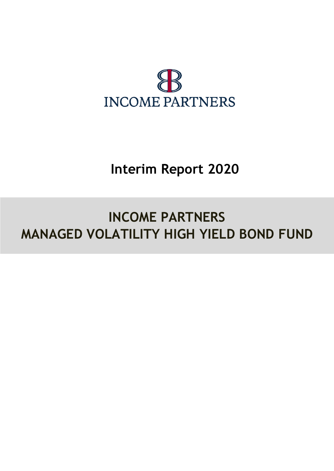

## **Interim Report 2020**

# **INCOME PARTNERS MANAGED VOLATILITY HIGH YIELD BOND FUND**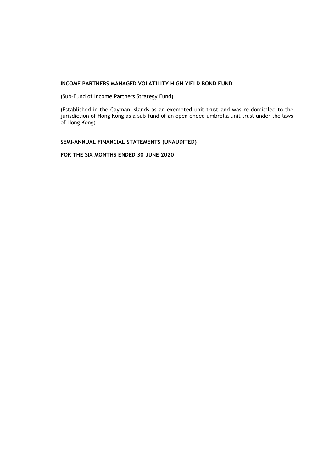(Sub–Fund of Income Partners Strategy Fund)

(Established in the Cayman Islands as an exempted unit trust and was re-domiciled to the jurisdiction of Hong Kong as a sub-fund of an open ended umbrella unit trust under the laws of Hong Kong)

**SEMI-ANNUAL FINANCIAL STATEMENTS (UNAUDITED)**

**FOR THE SIX MONTHS ENDED 30 JUNE 2020**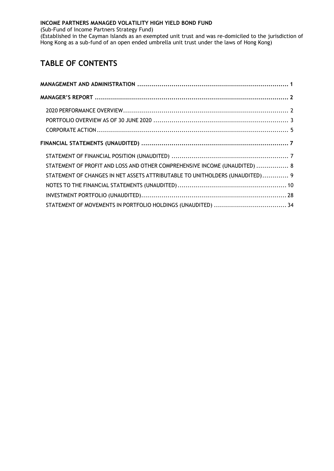(Sub-Fund of Income Partners Strategy Fund)

(Established in the Cayman Islands as an exempted unit trust and was re-domiciled to the jurisdiction of Hong Kong as a sub-fund of an open ended umbrella unit trust under the laws of Hong Kong)

### **TABLE OF CONTENTS**

| STATEMENT OF PROFIT AND LOSS AND OTHER COMPREHENSIVE INCOME (UNAUDITED)  8   |  |
|------------------------------------------------------------------------------|--|
| STATEMENT OF CHANGES IN NET ASSETS ATTRIBUTABLE TO UNITHOLDERS (UNAUDITED) 9 |  |
|                                                                              |  |
|                                                                              |  |
|                                                                              |  |
|                                                                              |  |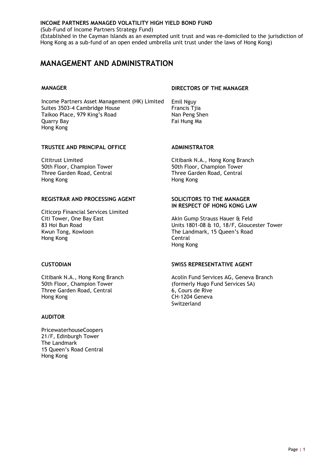(Sub-Fund of Income Partners Strategy Fund)

(Established in the Cayman Islands as an exempted unit trust and was re-domiciled to the jurisdiction of Hong Kong as a sub-fund of an open ended umbrella unit trust under the laws of Hong Kong)

### <span id="page-3-0"></span>**MANAGEMENT AND ADMINISTRATION**

Income Partners Asset Management (HK) Limited Emil Nguy Suites 3503-4 Cambridge House Francis Tija Taikoo Place, 979 King's Road Nan Peng Shen Quarry Bay **Fai Hung Ma** Hong Kong

#### **MANAGER DIRECTORS OF THE MANAGER**

#### **TRUSTEE AND PRINCIPAL OFFICE ADMINISTRATOR**

50th Floor, Champion Tower **50th Floor, Champion Tower** Three Garden Road, Central Three Garden Road, Central Hong Kong Hong Kong

#### **REGISTRAR AND PROCESSING AGENT SOLICITORS TO THE MANAGER**

Citicorp Financial Services Limited Citi Tower, One Bay East **Akin Gump Strauss Hauer & Feld**<br>
83 Hoi Bun Road **Again Company Strauss Hauer Bank** Units 1801-08 & 10. 18/F. Glouce Hong Kong **Central** 

Three Garden Road, Central Hong Kong **CH-1204 Geneva** 

#### **AUDITOR**

PricewaterhouseCoopers 21/F, Edinburgh Tower The Landmark 15 Queen's Road Central Hong Kong

Cititrust Limited Citibank N.A., Hong Kong Branch

## **IN RESPECT OF HONG KONG LAW**

83 Hoi Bun Road<br>
Kwun Tong, Kowloon<br>
Kwun Tong, Kowloon<br>
Washington Units 1801-08 & 10, 18/F, Gloucester Tower The Landmark, 15 Queen's Road Hong Kong

#### **CUSTODIAN SWISS REPRESENTATIVE AGENT**

Citibank N.A., Hong Kong Branch Acolin Fund Services AG, Geneva Branch 50th Floor, Champion Tower<br>
Three Garden Road, Central
(formerly Hugo Fund Services SA)
(500)
50th Floor, Champion Tower
(6, Cours de Rive Switzerland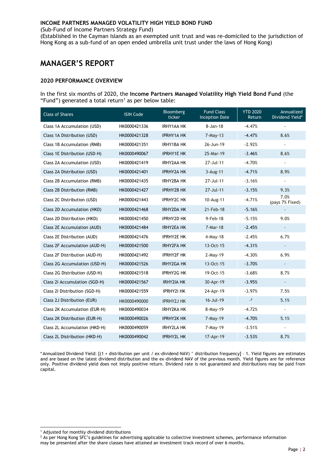(Sub-Fund of Income Partners Strategy Fund)

(Established in the Cayman Islands as an exempted unit trust and was re-domiciled to the jurisdiction of Hong Kong as a sub-fund of an open ended umbrella unit trust under the laws of Hong Kong)

#### <span id="page-4-0"></span>**MANAGER'S REPORT**

#### <span id="page-4-1"></span>**2020 PERFORMANCE OVERVIEW**

In the first six months of 2020, the **Income Partners Managed Volatility High Yield Bond Fund** (the "Fund") generated a total return<sup>1</sup> as per below table:

| <b>Class of Shares</b>        | <b>ISIN Code</b> | Bloomberg<br>ticker | <b>Fund Class</b><br><b>Inception Date</b> | <b>YTD 2020</b><br>Return | Annualized<br>Dividend Yield* |
|-------------------------------|------------------|---------------------|--------------------------------------------|---------------------------|-------------------------------|
| Class 1A Accumulation (USD)   | HK0000421336     | <b>IRHY1AA HK</b>   | 8-Jan-18                                   | $-4.47%$                  |                               |
| Class 1A Distribution (USD)   | HK0000421328     | <b>IPRHY1A HK</b>   | $7-May-13$                                 | $-4.47%$                  | 8.6%                          |
| Class 1B Accumulation (RMB)   | HK0000421351     | <b>IRHY1BA HK</b>   | 26-Jun-19                                  | $-2.92%$                  |                               |
| Class 1E Distribution (USD-H) | HK0000490067     | <b>IPRHY1E HK</b>   | 25-Mar-19                                  | $-3.46%$                  | 8.6%                          |
| Class 2A Accumulation (USD)   | HK0000421419     | <b>IRHY2AA HK</b>   | 27-Jul-11                                  | $-4.70%$                  |                               |
| Class 2A Distribution (USD)   | HK0000421401     | <b>IPRHY2A HK</b>   | $3 - Aug-11$                               | $-4.71%$                  | 8.9%                          |
| Class 2B Accumulation (RMB)   | HK0000421435     | <b>IRHY2BA HK</b>   | 27-Jul-11                                  | $-3.16%$                  | $\sim$                        |
| Class 2B Distribution (RMB)   | HK0000421427     | <b>IPRHY2B HK</b>   | 27-Jul-11                                  | $-3.15%$                  | 9.3%                          |
| Class 2C Distribution (USD)   | HK0000421443     | <b>IPRHY2C HK</b>   | 10-Aug-11                                  | $-4.71%$                  | 7.0%<br>(pays 7% Fixed)       |
| Class 2D Accumulation (HKD)   | HK0000421468     | <b>IRHY2DA HK</b>   | 21-Feb-18                                  | $-5.16%$                  |                               |
| Class 2D Distribution (HKD)   | HK0000421450     | <b>IPRHY2D HK</b>   | 9-Feb-18                                   | $-5.15%$                  | 9.0%                          |
| Class 2E Accumulation (AUD)   | HK0000421484     | <b>IRHY2EA HK</b>   | 7-Mar-18                                   | $-2.45%$                  | $\blacksquare$                |
| Class 2E Distribution (AUD)   | HK0000421476     | <b>IPRHY2E HK</b>   | $4$ -May-18                                | $-2.45%$                  | 6.7%                          |
| Class 2F Accumulation (AUD-H) | HK0000421500     | <b>IRHY2FA HK</b>   | 13-Oct-15                                  | $-4.31%$                  | $\overline{\phantom{a}}$      |
| Class 2F Distribution (AUD-H) | HK0000421492     | <b>IPRHY2F HK</b>   | $2-May-19$                                 | $-4.30%$                  | 6.9%                          |
| Class 2G Accumulation (USD-H) | HK0000421526     | <b>IRHY2GA HK</b>   | 13-Oct-15                                  | $-3.70%$                  | $\sim$                        |
| Class 2G Distribution (USD-H) | HK0000421518     | <b>IPRHY2G HK</b>   | 19-Oct-15                                  | $-3.68%$                  | 8.7%                          |
| Class 21 Accumulation (SGD-H) | HK0000421567     | <b>IRHY2IA HK</b>   | 30-Apr-19                                  | $-3.95%$                  | $\overline{\phantom{a}}$      |
| Class 21 Distribution (SGD-H) | HK0000421559     | <b>IPRHY2I HK</b>   | 24-Apr-19                                  | $-3.97%$                  | 7.5%                          |
| Class 2J Distribution (EUR)   | HK0000490000     | <b>IPRHY2J HK</b>   | 16-Jul-19                                  | $-2$                      | 5.1%                          |
| Class 2K Accumulation (EUR-H) | HK0000490034     | <b>IRHY2KA HK</b>   | 8-May-19                                   | $-4.72%$                  | $\overline{\phantom{a}}$      |
| Class 2K Distribution (EUR-H) | HK0000490026     | <b>IPRHY2K HK</b>   | $7-May-19$                                 | $-4.70%$                  | 5.1%                          |
| Class 2L Accumulation (HKD-H) | HK0000490059     | <b>IRHY2LA HK</b>   | 7-May-19                                   | $-3.51%$                  | $\blacksquare$                |
| Class 2L Distribution (HKD-H) | HK0000490042     | <b>IPRHY2L HK</b>   | 17-Apr-19                                  | $-3.53%$                  | 8.7%                          |

\* Annualized Dividend Yield: [(1 + distribution per unit / ex-dividend NAV) ^ distribution frequency] – 1. Yield figures are estimates and are based on the latest dividend distribution and the ex-dividend NAV of the previous month. Yield figures are for reference only. Positive dividend yield does not imply positive return. Dividend rate is not guaranteed and distributions may be paid from capital.

-

<sup>1</sup> Adjusted for monthly dividend distributions

<sup>&</sup>lt;sup>2</sup> As per Hong Kong SFC's guidelines for advertising applicable to collective investment schemes, performance information may be presented after the share classes have attained an investment track record of over 6 months.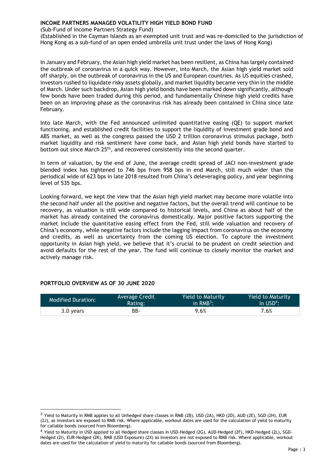(Sub-Fund of Income Partners Strategy Fund)

(Established in the Cayman Islands as an exempted unit trust and was re-domiciled to the jurisdiction of Hong Kong as a sub-fund of an open ended umbrella unit trust under the laws of Hong Kong)

In January and February, the Asian high yield market has been resilient, as China has largely contained the outbreak of coronavirus in a quick way. However, into March, the Asian high yield market sold off sharply, on the outbreak of coronavirus in the US and European countries. As US equities crashed, investors rushed to liquidate risky assets globally, and market liquidity became very thin in the middle of March. Under such backdrop, Asian high yield bonds have been marked down significantly, although few bonds have been traded during this period, and fundamentally Chinese high yield credits have been on an improving phase as the coronavirus risk has already been contained in China since late February.

Into late March, with the Fed announced unlimited quantitative easing (QE) to support market functioning, and established credit facilities to support the liquidity of investment grade bond and ABS market, as well as the congress passed the USD 2 trillion coronavirus stimulus package, both market liquidity and risk sentiment have come back, and Asian high yield bonds have started to bottom out since March 25<sup>th</sup>, and recovered consistently into the second quarter.

In term of valuation, by the end of June, the average credit spread of JACI non-investment grade blended index has tightened to 746 bps from 958 bps in end March, still much wider than the periodical wide of 623 bps in late 2018 resulted from China's deleveraging policy, and year beginning level of 535 bps.

Looking forward, we kept the view that the Asian high yield market may become more volatile into the second half under all the positive and negative factors, but the overall trend will continue to be recovery, as valuation is still wide compared to historical levels, and China as about half of the market has already contained the coronavirus domestically. Major positive factors supporting the market include the quantitative easing effect from the Fed, still wide valuation and recovery of China's economy, while negative factors include the lagging impact from coronavirus on the economy and credits, as well as uncertainty from the coming US election. To capture the investment opportunity in Asian high yield, we believe that it's crucial to be prudent on credit selection and avoid defaults for the rest of the year. The fund will continue to closely monitor the market and actively manage risk.

| <b>Modified Duration:</b> | Average Credit | <b>Yield to Maturity</b> | <b>Yield to Maturity</b> |
|---------------------------|----------------|--------------------------|--------------------------|
|                           | Rating:        | in $RMB^3$ :             | in $USD4$ :              |
| 3.0 years                 | BB-            | 9.6%                     | $7.6\%$                  |

#### <span id="page-5-0"></span>**PORTFOLIO OVERVIEW AS OF 30 JUNE 2020**

-

<sup>&</sup>lt;sup>3</sup> Yield to Maturity in RMB applies to all Unhedged share classes in RMB (2B), USD (2A), HKD (2D), AUD (2E), SGD (2H), EUR (2J), as investors are exposed to RMB risk. Where applicable, workout dates are used for the calculation of yield to maturity for callable bonds (sourced from Bloomberg).

<sup>4</sup> Yield to Maturity in USD applied to all Hedged share classes in USD-Hedged (2G), AUD-Hedged (2F), HKD-Hedged (2L), SGD-Hedged (2I), EUR-Hedged (2K), RMB (USD Exposure) (2X) as investors are not exposed to RMB risk. Where applicable, workout dates are used for the calculation of yield to maturity for callable bonds (sourced from Bloomberg).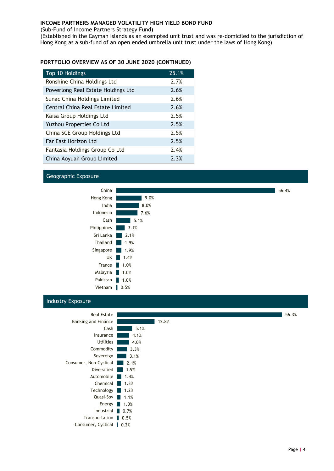(Sub-Fund of Income Partners Strategy Fund)

(Established in the Cayman Islands as an exempted unit trust and was re-domiciled to the jurisdiction of Hong Kong as a sub-fund of an open ended umbrella unit trust under the laws of Hong Kong)

#### **PORTFOLIO OVERVIEW AS OF 30 JUNE 2020 (CONTINUED)**

| Top 10 Holdings                    | 25.1% |
|------------------------------------|-------|
| Ronshine China Holdings Ltd        | 2.7%  |
| Powerlong Real Estate Holdings Ltd | 2.6%  |
| Sunac China Holdings Limited       | 2.6%  |
| Central China Real Estate Limited  | 2.6%  |
| Kaisa Group Holdings Ltd           | 2.5%  |
| Yuzhou Properties Co Ltd           | 2.5%  |
| China SCE Group Holdings Ltd       | 2.5%  |
| Far East Horizon Ltd               | 2.5%  |
| Fantasia Holdings Group Co Ltd     | 2.4%  |
| China Aoyuan Group Limited         | 2.3%  |

#### Geographic Exposure



#### Industry Exposure

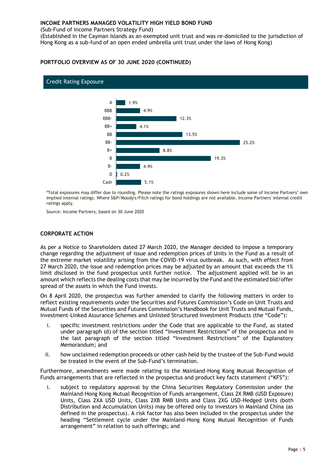(Sub-Fund of Income Partners Strategy Fund)

(Established in the Cayman Islands as an exempted unit trust and was re-domiciled to the jurisdiction of Hong Kong as a sub-fund of an open ended umbrella unit trust under the laws of Hong Kong)

#### **PORTFOLIO OVERVIEW AS OF 30 JUNE 2020 (CONTINUED)**



#### Credit Rating Exposure

#Total exposures may differ due to rounding. Please note the ratings exposures shown here include some of Income Partners' own implied internal ratings. Where S&P/Moody's/Fitch ratings for bond holdings are not available, Income Partners' internal credit ratings apply.

Source: Income Partners, based on 30 June 2020

#### <span id="page-7-0"></span>**CORPORATE ACTION**

As per a Notice to Shareholders dated 27 March 2020, the Manager decided to impose a temporary change regarding the adjustment of issue and redemption prices of Units in the Fund as a result of the extreme market volatility arising from the COVID-19 virus outbreak. As such, with effect from 27 March 2020, the issue and redemption prices may be adjusted by an amount that exceeds the 1% limit disclosed in the fund prospectus until further notice. The adjustment applied will be in an amount which reflects the dealing costs that may be incurred by the Fund and the estimated bid/offer spread of the assets in which the Fund invests.

On 8 April 2020, the prospectus was further amended to clarify the following matters in order to reflect existing requirements under the Securities and Futures Commission's Code on Unit Trusts and Mutual Funds of the Securities and Futures Commission's Handbook for Unit Trusts and Mutual Funds, Investment-Linked Assurance Schemes and Unlisted Structured Investment Products (the "Code"):

- i. specific investment restrictions under the Code that are applicable to the Fund, as stated under paragraph (d) of the section titled "Investment Restrictions" of the prospectus and in the last paragraph of the section titled "Investment Restrictions" of the Explanatory Memorandum; and
- ii. how unclaimed redemption proceeds or other cash held by the trustee of the Sub-Fund would be treated in the event of the Sub-Fund's termination.

Furthermore, amendments were made relating to the Mainland-Hong Kong Mutual Recognition of Funds arrangements that are reflected in the prospectus and product key facts statement ("KFS"):

i. subject to regulatory approval by the China Securities Regulatory Commission under the Mainland-Hong Kong Mutual Recognition of Funds arrangement, Class 2X RMB (USD Exposure) Units, Class 2XA USD Units, Class 2XB RMB Units and Class 2XG USD-Hedged Units (both Distribution and Accumulation Units) may be offered only to investors in Mainland China (as defined in the prospectus). A risk factor has also been included in the prospectus under the heading "Settlement cycle under the Mainland-Hong Kong Mutual Recognition of Funds arrangement" in relation to such offerings; and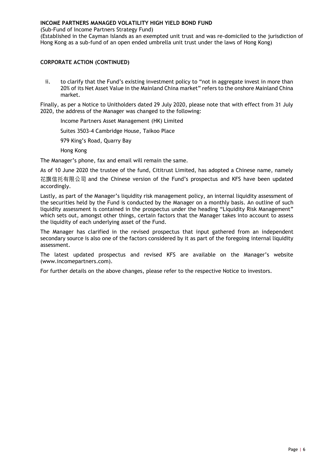(Sub-Fund of Income Partners Strategy Fund)

(Established in the Cayman Islands as an exempted unit trust and was re-domiciled to the jurisdiction of Hong Kong as a sub-fund of an open ended umbrella unit trust under the laws of Hong Kong)

#### **CORPORATE ACTION (CONTINUED)**

ii. to clarify that the Fund's existing investment policy to "not in aggregate invest in more than 20% of its Net Asset Value in the Mainland China market" refers to the onshore Mainland China market.

Finally, as per a Notice to Unitholders dated 29 July 2020, please note that with effect from 31 July 2020, the address of the Manager was changed to the following:

Income Partners Asset Management (HK) Limited

Suites 3503-4 Cambridge House, Taikoo Place

979 King's Road, Quarry Bay

Hong Kong

The Manager's phone, fax and email will remain the same.

As of 10 June 2020 the trustee of the fund, Cititrust Limited, has adopted a Chinese name, namely 花旗信托有限公司 and the Chinese version of the Fund's prospectus and KFS have been updated accordingly.

Lastly, as part of the Manager's liquidity risk management policy, an internal liquidity assessment of the securities held by the Fund is conducted by the Manager on a monthly basis. An outline of such liquidity assessment is contained in the prospectus under the heading "Liquidity Risk Management" which sets out, amongst other things, certain factors that the Manager takes into account to assess the liquidity of each underlying asset of the Fund.

The Manager has clarified in the revised prospectus that input gathered from an independent secondary source is also one of the factors considered by it as part of the foregoing internal liquidity assessment.

The latest updated prospectus and revised KFS are available on the Manager's website (www.incomepartners.com).

For further details on the above changes, please refer to the respective Notice to investors.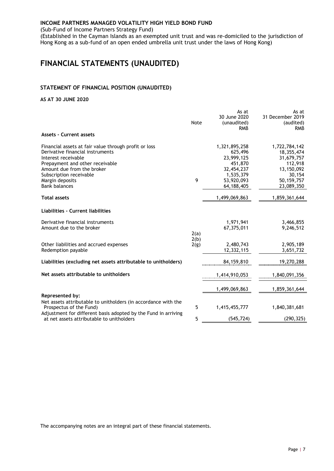(Sub-Fund of Income Partners Strategy Fund)

(Established in the Cayman Islands as an exempted unit trust and was re-domiciled to the jurisdiction of Hong Kong as a sub-fund of an open ended umbrella unit trust under the laws of Hong Kong)

### <span id="page-9-0"></span>**FINANCIAL STATEMENTS (UNAUDITED)**

#### <span id="page-9-1"></span>**STATEMENT OF FINANCIAL POSITION (UNAUDITED)**

#### **AS AT 30 JUNE 2020**

|                                                                                                                                                                                                                                                         | Note         | As at<br>30 June 2020<br>(unaudited)<br><b>RMB</b>                                                       | As at<br>31 December 2019<br>(audited)<br><b>RMB</b>                                                     |
|---------------------------------------------------------------------------------------------------------------------------------------------------------------------------------------------------------------------------------------------------------|--------------|----------------------------------------------------------------------------------------------------------|----------------------------------------------------------------------------------------------------------|
| <b>Assets - Current assets</b>                                                                                                                                                                                                                          |              |                                                                                                          |                                                                                                          |
| Financial assets at fair value through profit or loss<br>Derivative financial instruments<br>Interest receivable<br>Prepayment and other receivable<br>Amount due from the broker<br>Subscription receivable<br>Margin deposits<br><b>Bank balances</b> | 9            | 1,321,895,258<br>625,496<br>23,999,125<br>451,870<br>32,454,237<br>1,535,379<br>53,920,093<br>64,188,405 | 1,722,784,142<br>18,355,474<br>31,679,757<br>112,918<br>13,150,092<br>30,154<br>50,159,757<br>23,089,350 |
| <b>Total assets</b>                                                                                                                                                                                                                                     |              | 1,499,069,863                                                                                            | 1,859,361,644                                                                                            |
| Liabilities - Current liabilities                                                                                                                                                                                                                       |              |                                                                                                          |                                                                                                          |
| Derivative financial instruments<br>Amount due to the broker                                                                                                                                                                                            | 2(a)         | 1,971,941<br>67,375,011                                                                                  | 3,466,855<br>9,246,512                                                                                   |
| Other liabilities and accrued expenses<br>Redemption payable                                                                                                                                                                                            | 2(b)<br>2(g) | 2.480.743<br>12,332,115                                                                                  | 2,905,189<br>3,651,732                                                                                   |
| Liabilities (excluding net assets attributable to unitholders)                                                                                                                                                                                          |              | 84, 159, 810                                                                                             | 19,270,288                                                                                               |
| Net assets attributable to unitholders                                                                                                                                                                                                                  |              | 1,414,910,053                                                                                            | 1,840,091,356                                                                                            |
|                                                                                                                                                                                                                                                         |              | 1,499,069,863                                                                                            | 1,859,361,644                                                                                            |
| Represented by:<br>Net assets attributable to unitholders (in accordance with the<br>Prospectus of the Fund)                                                                                                                                            | 5            | 1,415,455,777                                                                                            | 1,840,381,681                                                                                            |
| Adjustment for different basis adopted by the Fund in arriving<br>at net assets attributable to unitholders                                                                                                                                             | 5            | (545, 724)                                                                                               | (290, 325)                                                                                               |

The accompanying notes are an integral part of these financial statements.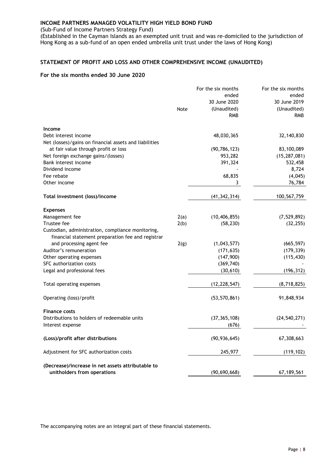(Sub-Fund of Income Partners Strategy Fund)

(Established in the Cayman Islands as an exempted unit trust and was re-domiciled to the jurisdiction of Hong Kong as a sub-fund of an open ended umbrella unit trust under the laws of Hong Kong)

#### <span id="page-10-0"></span>**STATEMENT OF PROFIT AND LOSS AND OTHER COMPREHENSIVE INCOME (UNAUDITED)**

#### **For the six months ended 30 June 2020**

|                                                                                                        |      | For the six months | For the six months |
|--------------------------------------------------------------------------------------------------------|------|--------------------|--------------------|
|                                                                                                        |      | ended              | ended              |
|                                                                                                        |      | 30 June 2020       | 30 June 2019       |
|                                                                                                        | Note | (Unaudited)        | (Unaudited)        |
|                                                                                                        |      | <b>RMB</b>         | <b>RMB</b>         |
| Income                                                                                                 |      |                    |                    |
| Debt interest income                                                                                   |      | 48,030,365         | 32,140,830         |
| Net (losses)/gains on financial assets and liabilities                                                 |      |                    |                    |
| at fair value through profit or loss                                                                   |      | (90, 786, 123)     | 83,100,089         |
| Net foreign exchange gains/(losses)                                                                    |      | 953,282            | (15, 287, 081)     |
| Bank interest income                                                                                   |      | 391,324            | 532,458            |
| Dividend income                                                                                        |      |                    | 8,724              |
| Fee rebate                                                                                             |      | 68,835             | (4,045)            |
| Other income                                                                                           |      | 3                  | 76,784             |
| Total investment (loss)/income                                                                         |      | (41, 342, 314)     | 100,567,759        |
|                                                                                                        |      |                    |                    |
| <b>Expenses</b>                                                                                        |      |                    |                    |
| Management fee                                                                                         | 2(a) | (10, 406, 855)     | (7, 529, 892)      |
| Trustee fee                                                                                            | 2(b) | (58, 230)          | (32, 255)          |
| Custodian, administration, compliance monitoring,<br>financial statement preparation fee and registrar |      |                    |                    |
| and processing agent fee                                                                               | 2(g) | (1,043,577)        | (665, 597)         |
| Auditor's remuneration                                                                                 |      | (171, 635)         | (179, 339)         |
| Other operating expenses                                                                               |      | (147,900)          | (115, 430)         |
| SFC authorization costs                                                                                |      | (369, 740)         |                    |
| Legal and professional fees                                                                            |      | (30, 610)          | (196, 312)         |
| Total operating expenses                                                                               |      | (12, 228, 547)     | (8,718,825)        |
| Operating (loss)/profit                                                                                |      | (53, 570, 861)     | 91,848,934         |
|                                                                                                        |      |                    |                    |
| <b>Finance costs</b>                                                                                   |      |                    |                    |
| Distributions to holders of redeemable units                                                           |      | (37, 365, 108)     | (24, 540, 271)     |
| Interest expense                                                                                       |      | (676)              |                    |
| (Loss)/profit after distributions                                                                      |      | (90, 936, 645)     | 67,308,663         |
| Adjustment for SFC authorization costs                                                                 |      | 245,977            | (119, 102)         |
| (Decrease)/increase in net assets attributable to                                                      |      |                    |                    |
| unitholders from operations                                                                            |      | (90, 690, 668)     | 67,189,561         |
|                                                                                                        |      |                    |                    |

The accompanying notes are an integral part of these financial statements.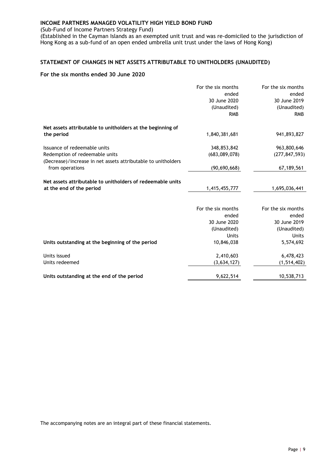(Sub-Fund of Income Partners Strategy Fund)

(Established in the Cayman Islands as an exempted unit trust and was re-domiciled to the jurisdiction of Hong Kong as a sub-fund of an open ended umbrella unit trust under the laws of Hong Kong)

#### <span id="page-11-0"></span>**STATEMENT OF CHANGES IN NET ASSETS ATTRIBUTABLE TO UNITHOLDERS (UNAUDITED)**

#### **For the six months ended 30 June 2020**

|                                                               | For the six months | For the six months |
|---------------------------------------------------------------|--------------------|--------------------|
|                                                               | ended              | ended              |
|                                                               | 30 June 2020       | 30 June 2019       |
|                                                               | (Unaudited)        | (Unaudited)        |
|                                                               | <b>RMB</b>         | <b>RMB</b>         |
| Net assets attributable to unitholders at the beginning of    |                    |                    |
| the period                                                    | 1,840,381,681      | 941,893,827        |
| Issuance of redeemable units                                  | 348,853,842        | 963,800,646        |
| Redemption of redeemable units                                | (683,089,078)      | (277, 847, 593)    |
| (Decrease)/increase in net assets attributable to unitholders |                    |                    |
| from operations                                               | (90, 690, 668)     | 67, 189, 561       |
| Net assets attributable to unitholders of redeemable units    |                    |                    |
| at the end of the period                                      | 1,415,455,777      | 1,695,036,441      |
|                                                               |                    |                    |
|                                                               | For the six months | For the six months |
|                                                               | ended              | ended              |
|                                                               | 30 June 2020       | 30 June 2019       |
|                                                               | (Unaudited)        | (Unaudited)        |
|                                                               | Units              | <b>Units</b>       |
| Units outstanding at the beginning of the period              | 10,846,038         | 5,574,692          |
| Units issued                                                  | 2,410,603          | 6,478,423          |
| Units redeemed                                                | (3,634,127)        | (1, 514, 402)      |
|                                                               |                    |                    |
| Units outstanding at the end of the period                    | 9,622,514          | 10,538,713         |

The accompanying notes are an integral part of these financial statements.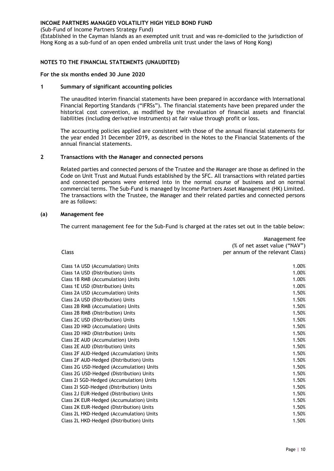(Sub-Fund of Income Partners Strategy Fund)

(Established in the Cayman Islands as an exempted unit trust and was re-domiciled to the jurisdiction of Hong Kong as a sub-fund of an open ended umbrella unit trust under the laws of Hong Kong)

#### <span id="page-12-0"></span>**NOTES TO THE FINANCIAL STATEMENTS (UNAUDITED)**

#### **For the six months ended 30 June 2020**

#### **1 Summary of significant accounting policies**

The unaudited interim financial statements have been prepared in accordance with International Financial Reporting Standards ("IFRSs"). The financial statements have been prepared under the historical cost convention, as modified by the revaluation of financial assets and financial liabilities (including derivative instruments) at fair value through profit or loss.

The accounting policies applied are consistent with those of the annual financial statements for the year ended 31 December 2019, as described in the Notes to the Financial Statements of the annual financial statements.

#### **2 Transactions with the Manager and connected persons**

Related parties and connected persons of the Trustee and the Manager are those as defined in the Code on Unit Trust and Mutual Funds established by the SFC. All transactions with related parties and connected persons were entered into in the normal course of business and on normal commercial terms. The Sub-Fund is managed by Income Partners Asset Management (HK) Limited. The transactions with the Trustee, the Manager and their related parties and connected persons are as follows:

#### **(a) Management fee**

The current management fee for the Sub-Fund is charged at the rates set out in the table below:

| Class                                    | Management fee<br>(% of net asset value ("NAV")<br>per annum of the relevant Class) |
|------------------------------------------|-------------------------------------------------------------------------------------|
|                                          |                                                                                     |
| Class 1A USD (Accumulation) Units        | 1.00%                                                                               |
| Class 1A USD (Distribution) Units        | 1.00%                                                                               |
| Class 1B RMB (Accumulation) Units        | 1.00%                                                                               |
| Class 1E USD (Distribution) Units        | 1.00%                                                                               |
| Class 2A USD (Accumulation) Units        | 1.50%                                                                               |
| Class 2A USD (Distribution) Units        | 1.50%                                                                               |
| Class 2B RMB (Accumulation) Units        | 1.50%                                                                               |
| Class 2B RMB (Distribution) Units        | 1.50%                                                                               |
| Class 2C USD (Distribution) Units        | 1.50%                                                                               |
| Class 2D HKD (Accumulation) Units        | 1.50%                                                                               |
| Class 2D HKD (Distribution) Units        | 1.50%                                                                               |
| Class 2E AUD (Accumulation) Units        | 1.50%                                                                               |
| Class 2E AUD (Distribution) Units        | 1.50%                                                                               |
| Class 2F AUD-Hedged (Accumulation) Units | 1.50%                                                                               |
| Class 2F AUD-Hedged (Distribution) Units | 1.50%                                                                               |
| Class 2G USD-Hedged (Accumulation) Units | 1.50%                                                                               |
| Class 2G USD-Hedged (Distribution) Units | 1.50%                                                                               |
| Class 21 SGD-Hedged (Accumulation) Units | 1.50%                                                                               |
| Class 21 SGD-Hedged (Distribution) Units | 1.50%                                                                               |
| Class 2J EUR-Hedged (Distribution) Units | 1.50%                                                                               |
| Class 2K EUR-Hedged (Accumulation) Units | 1.50%                                                                               |
| Class 2K EUR-Hedged (Distribution) Units | 1.50%                                                                               |
| Class 2L HKD-Hedged (Accumulation) Units | 1.50%                                                                               |
| Class 2L HKD-Hedged (Distribution) Units | 1.50%                                                                               |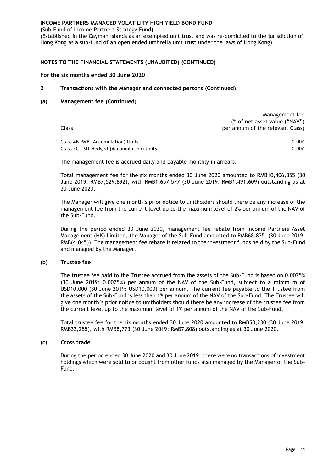(Sub-Fund of Income Partners Strategy Fund)

(Established in the Cayman Islands as an exempted unit trust and was re-domiciled to the jurisdiction of Hong Kong as a sub-fund of an open ended umbrella unit trust under the laws of Hong Kong)

#### **NOTES TO THE FINANCIAL STATEMENTS (UNAUDITED) (CONTINUED)**

#### **For the six months ended 30 June 2020**

**2 Transactions with the Manager and connected persons (Continued)**

#### **(a) Management fee (Continued)**

| Management fee                   |
|----------------------------------|
| (% of net asset value ("NAV")    |
| per annum of the relevant Class) |
|                                  |
|                                  |

Class 4B RMB (Accumulation) Units 0.00% Class 4C USD-Hedged (Accumulation) Units 0.00% and 0.00% of the contract of the contract of the contract of the contract of the contract of the contract of the contract of the contract of the contract of the contract of th

The management fee is accrued daily and payable monthly in arrears.

Total management fee for the six months ended 30 June 2020 amounted to RMB10,406,855 (30 June 2019: RMB7,529,892), with RMB1,657,577 (30 June 2019: RMB1,491,609) outstanding as at 30 June 2020.

The Manager will give one month's prior notice to unitholders should there be any increase of the management fee from the current level up to the maximum level of 2% per annum of the NAV of the Sub-Fund.

During the period ended 30 June 2020, management fee rebate from Income Partners Asset Management (HK) Limited, the Manager of the Sub-Fund amounted to RMB68,835 (30 June 2019: RMB(4,045)). The management fee rebate is related to the investment funds held by the Sub-Fund and managed by the Manager.

#### **(b) Trustee fee**

The trustee fee paid to the Trustee accrued from the assets of the Sub-Fund is based on 0.0075% (30 June 2019: 0.0075%) per annum of the NAV of the Sub-Fund, subject to a minimum of USD10,000 (30 June 2019: USD10,000) per annum. The current fee payable to the Trustee from the assets of the Sub-Fund is less than 1% per annum of the NAV of the Sub-Fund. The Trustee will give one month's prior notice to unitholders should there be any increase of the trustee fee from the current level up to the maximum level of 1% per annum of the NAV of the Sub-Fund.

Total trustee fee for the six months ended 30 June 2020 amounted to RMB58,230 (30 June 2019: RMB32,255), with RMB8,773 (30 June 2019: RMB7,808) outstanding as at 30 June 2020.

#### **(c) Cross trade**

During the period ended 30 June 2020 and 30 June 2019, there were no transactions of investment holdings which were sold to or bought from other funds also managed by the Manager of the Sub-Fund.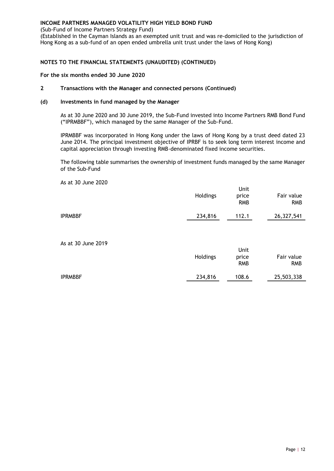(Sub-Fund of Income Partners Strategy Fund)

(Established in the Cayman Islands as an exempted unit trust and was re-domiciled to the jurisdiction of Hong Kong as a sub-fund of an open ended umbrella unit trust under the laws of Hong Kong)

#### **NOTES TO THE FINANCIAL STATEMENTS (UNAUDITED) (CONTINUED)**

#### **For the six months ended 30 June 2020**

#### **2 Transactions with the Manager and connected persons (Continued)**

#### **(d) Investments in fund managed by the Manager**

As at 30 June 2020 and 30 June 2019, the Sub-Fund invested into Income Partners RMB Bond Fund ("IPRMBBF"), which managed by the same Manager of the Sub-Fund.

IPRMBBF was incorporated in Hong Kong under the laws of Hong Kong by a trust deed dated 23 June 2014. The principal investment objective of IPRBF is to seek long term interest income and capital appreciation through investing RMB-denominated fixed income securities.

The following table summarises the ownership of investment funds managed by the same Manager of the Sub-Fund

|                    | Holdings | Unit<br>price<br><b>RMB</b> | Fair value<br><b>RMB</b> |
|--------------------|----------|-----------------------------|--------------------------|
| <b>IPRMBBF</b>     | 234,816  | 112.1                       | 26,327,541               |
| As at 30 June 2019 | Holdings | Unit<br>price<br><b>RMB</b> | Fair value<br><b>RMB</b> |
| <b>IPRMBBF</b>     | 234,816  | 108.6                       | 25,503,338               |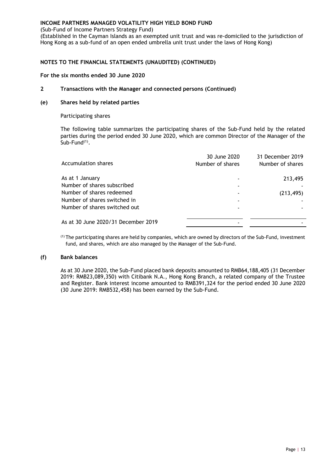(Sub-Fund of Income Partners Strategy Fund)

(Established in the Cayman Islands as an exempted unit trust and was re-domiciled to the jurisdiction of Hong Kong as a sub-fund of an open ended umbrella unit trust under the laws of Hong Kong)

#### **NOTES TO THE FINANCIAL STATEMENTS (UNAUDITED) (CONTINUED)**

#### **For the six months ended 30 June 2020**

#### **2 Transactions with the Manager and connected persons (Continued)**

#### **(e) Shares held by related parties**

Participating shares

The following table summarizes the participating shares of the Sub-Fund held by the related parties during the period ended 30 June 2020, which are common Director of the Manager of the Sub-Fund<sup>(1)</sup>.

| Accumulation shares                 | 30 June 2020<br>Number of shares | 31 December 2019<br>Number of shares |
|-------------------------------------|----------------------------------|--------------------------------------|
| As at 1 January                     |                                  | 213,495                              |
| Number of shares subscribed         |                                  |                                      |
| Number of shares redeemed           |                                  | (213, 495)                           |
| Number of shares switched in        |                                  |                                      |
| Number of shares switched out       |                                  |                                      |
| As at 30 June 2020/31 December 2019 |                                  |                                      |
|                                     |                                  |                                      |

(1) The participating shares are held by companies, which are owned by directors of the Sub-Fund, investment fund, and shares, which are also managed by the Manager of the Sub-Fund.

#### **(f) Bank balances**

As at 30 June 2020, the Sub-Fund placed bank deposits amounted to RMB64,188,405 (31 December 2019: RMB23,089,350) with Citibank N.A., Hong Kong Branch, a related company of the Trustee and Register. Bank interest income amounted to RMB391,324 for the period ended 30 June 2020 (30 June 2019: RMB532,458) has been earned by the Sub-Fund.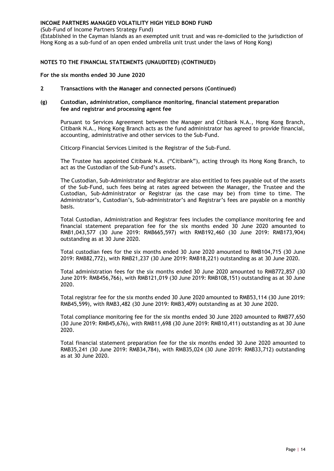(Sub-Fund of Income Partners Strategy Fund)

(Established in the Cayman Islands as an exempted unit trust and was re-domiciled to the jurisdiction of Hong Kong as a sub-fund of an open ended umbrella unit trust under the laws of Hong Kong)

#### **NOTES TO THE FINANCIAL STATEMENTS (UNAUDITED) (CONTINUED)**

#### **For the six months ended 30 June 2020**

**2 Transactions with the Manager and connected persons (Continued)**

#### **(g) Custodian, administration, compliance monitoring, financial statement preparation fee and registrar and processing agent fee**

Pursuant to Services Agreement between the Manager and Citibank N.A., Hong Kong Branch, Citibank N.A., Hong Kong Branch acts as the fund administrator has agreed to provide financial, accounting, administrative and other services to the Sub-Fund.

Citicorp Financial Services Limited is the Registrar of the Sub-Fund.

The Trustee has appointed Citibank N.A. ("Citibank"), acting through its Hong Kong Branch, to act as the Custodian of the Sub-Fund's assets.

The Custodian, Sub-Administrator and Registrar are also entitled to fees payable out of the assets of the Sub-Fund, such fees being at rates agreed between the Manager, the Trustee and the Custodian, Sub-Administrator or Registrar (as the case may be) from time to time. The Administrator's, Custodian's, Sub-administrator's and Registrar's fees are payable on a monthly basis.

Total Custodian, Administration and Registrar fees includes the compliance monitoring fee and financial statement preparation fee for the six months ended 30 June 2020 amounted to RMB1,043,577 (30 June 2019: RMB665,597) with RMB192,460 (30 June 2019: RMB173,904) outstanding as at 30 June 2020.

Total custodian fees for the six months ended 30 June 2020 amounted to RMB104,715 (30 June 2019: RMB82,772), with RMB21,237 (30 June 2019: RMB18,221) outstanding as at 30 June 2020.

Total administration fees for the six months ended 30 June 2020 amounted to RMB772,857 (30 June 2019: RMB456,766), with RMB121,019 (30 June 2019: RMB108,151) outstanding as at 30 June 2020.

Total registrar fee for the six months ended 30 June 2020 amounted to RMB53,114 (30 June 2019: RMB45,599), with RMB3,482 (30 June 2019: RMB3,409) outstanding as at 30 June 2020.

Total compliance monitoring fee for the six months ended 30 June 2020 amounted to RMB77,650 (30 June 2019: RMB45,676), with RMB11,698 (30 June 2019: RMB10,411) outstanding as at 30 June 2020.

Total financial statement preparation fee for the six months ended 30 June 2020 amounted to RMB35,241 (30 June 2019: RMB34,784), with RMB35,024 (30 June 2019: RMB33,712) outstanding as at 30 June 2020.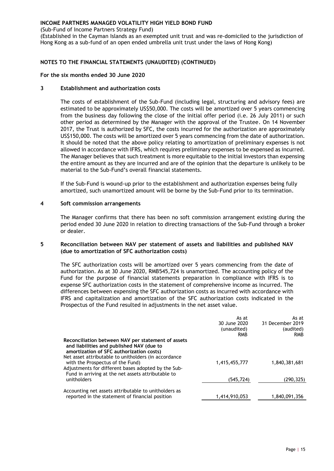(Sub-Fund of Income Partners Strategy Fund)

(Established in the Cayman Islands as an exempted unit trust and was re-domiciled to the jurisdiction of Hong Kong as a sub-fund of an open ended umbrella unit trust under the laws of Hong Kong)

#### **NOTES TO THE FINANCIAL STATEMENTS (UNAUDITED) (CONTINUED)**

#### **For the six months ended 30 June 2020**

#### **3 Establishment and authorization costs**

The costs of establishment of the Sub-Fund (including legal, structuring and advisory fees) are estimated to be approximately US\$50,000. The costs will be amortized over 5 years commencing from the business day following the close of the initial offer period (i.e. 26 July 2011) or such other period as determined by the Manager with the approval of the Trustee. On 14 November 2017, the Trust is authorized by SFC, the costs incurred for the authorization are approximately US\$150,000. The costs will be amortized over 5 years commencing from the date of authorization. It should be noted that the above policy relating to amortization of preliminary expenses is not allowed in accordance with IFRS, which requires preliminary expenses to be expensed as incurred. The Manager believes that such treatment is more equitable to the initial investors than expensing the entire amount as they are incurred and are of the opinion that the departure is unlikely to be material to the Sub-Fund's overall financial statements.

If the Sub-Fund is wound-up prior to the establishment and authorization expenses being fully amortized, such unamortized amount will be borne by the Sub-Fund prior to its termination.

#### **4 Soft commission arrangements**

The Manager confirms that there has been no soft commission arrangement existing during the period ended 30 June 2020 in relation to directing transactions of the Sub-Fund through a broker or dealer.

#### **5 Reconciliation between NAV per statement of assets and liabilities and published NAV (due to amortization of SFC authorization costs)**

The SFC authorization costs will be amortized over 5 years commencing from the date of authorization. As at 30 June 2020, RMB545,724 is unamortized. The accounting policy of the Fund for the purpose of financial statements preparation in compliance with IFRS is to expense SFC authorization costs in the statement of comprehensive income as incurred. The differences between expensing the SFC authorization costs as incurred with accordance with IFRS and capitalization and amortization of the SFC authorization costs indicated in the Prospectus of the Fund resulted in adjustments in the net asset value.

|                                                                                                                                                                                                     | As at         | As at            |
|-----------------------------------------------------------------------------------------------------------------------------------------------------------------------------------------------------|---------------|------------------|
|                                                                                                                                                                                                     | 30 June 2020  | 31 December 2019 |
|                                                                                                                                                                                                     | (unaudited)   | (audited)        |
|                                                                                                                                                                                                     | <b>RMB</b>    | <b>RMB</b>       |
| Reconciliation between NAV per statement of assets<br>and liabilities and published NAV (due to<br>amortization of SFC authorization costs)<br>Net asset attributable to unitholders (in accordance |               |                  |
| with the Prospectus of the Fund)<br>Adjustments for different bases adopted by the Sub-<br>Fund in arriving at the net assets attributable to                                                       | 1,415,455,777 | 1,840,381,681    |
| unitholders                                                                                                                                                                                         | (545, 724)    | (290,325)        |
| Accounting net assets attributable to unitholders as                                                                                                                                                |               |                  |
| reported in the statement of financial position                                                                                                                                                     | 1,414,910,053 | 1,840,091,356    |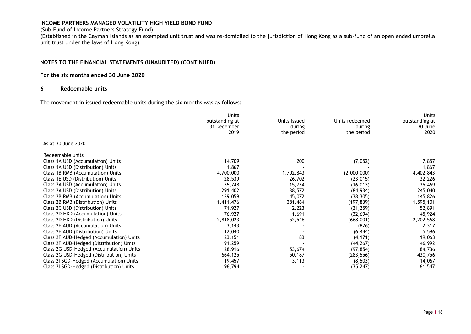#### (Sub-Fund of Income Partners Strategy Fund)

(Established in the Cayman Islands as an exempted unit trust and was re-domiciled to the jurisdiction of Hong Kong as a sub-fund of an open ended umbrella unit trust under the laws of Hong Kong)

#### **NOTES TO THE FINANCIAL STATEMENTS (UNAUDITED) (CONTINUED)**

#### **For the six months ended 30 June 2020**

#### **6 Redeemable units**

The movement in issued redeemable units during the six months was as follows:

|                                          | <b>Units</b>   |              |                | <b>Units</b>   |
|------------------------------------------|----------------|--------------|----------------|----------------|
|                                          | outstanding at | Units issued | Units redeemed | outstanding at |
|                                          | 31 December    | during       | during         | 30 June        |
|                                          | 2019           | the period   | the period     | 2020           |
| As at 30 June 2020                       |                |              |                |                |
| Redeemable units                         |                |              |                |                |
| Class 1A USD (Accumulation) Units        | 14,709         | 200          | (7,052)        | 7,857          |
| Class 1A USD (Distribution) Units        | 1,867          |              |                | 1,867          |
| Class 1B RMB (Accumulation) Units        | 4,700,000      | 1,702,843    | (2,000,000)    | 4,402,843      |
| Class 1E USD (Distribution) Units        | 28,539         | 26,702       | (23, 015)      | 32,226         |
| Class 2A USD (Accumulation) Units        | 35,748         | 15,734       | (16, 013)      | 35,469         |
| Class 2A USD (Distribution) Units        | 291,402        | 38,572       | (84, 934)      | 245,040        |
| Class 2B RMB (Accumulation) Units        | 139,059        | 45,072       | (38, 305)      | 145,826        |
| Class 2B RMB (Distribution) Units        | 1,411,476      | 381,464      | (197, 839)     | 1,595,101      |
| Class 2C USD (Distribution) Units        | 71,927         | 2,223        | (21, 259)      | 52,891         |
| Class 2D HKD (Accumulation) Units        | 76,927         | 1,691        | (32, 694)      | 45,924         |
| Class 2D HKD (Distribution) Units        | 2,818,023      | 52,546       | (668,001)      | 2,202,568      |
| Class 2E AUD (Accumulation) Units        | 3,143          |              | (826)          | 2,317          |
| Class 2E AUD (Distribution) Units        | 12,040         |              | (6, 444)       | 5,596          |
| Class 2F AUD-Hedged (Accumulation) Units | 23,151         | 83           | (4, 171)       | 19,063         |
| Class 2F AUD-Hedged (Distribution) Units | 91,259         |              | (44, 267)      | 46,992         |
| Class 2G USD-Hedged (Accumulation) Units | 128,916        | 53,674       | (97, 854)      | 84,736         |
| Class 2G USD-Hedged (Distribution) Units | 664,125        | 50,187       | (283, 556)     | 430,756        |
| Class 21 SGD-Hedged (Accumulation) Units | 19,457         | 3,113        | (8, 503)       | 14,067         |
| Class 21 SGD-Hedged (Distribution) Units | 96,794         |              | (35, 247)      | 61,547         |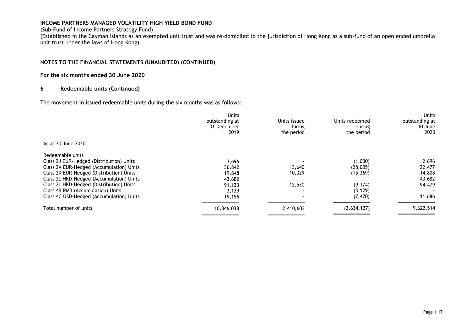#### (Sub-Fund of Income Partners Strategy Fund)

(Established in the Cayman Islands as an exempted unit trust and was re-domiciled to the jurisdiction of Hong Kong as a sub-fund of an open ended umbrella unit trust under the laws of Hong Kong)

#### **NOTES TO THE FINANCIAL STATEMENTS (UNAUDITED) (CONTINUED)**

#### **For the six months ended 30 June 2020**

#### **6 Redeemable units (Continued)**

The movement in issued redeemable units during the six months was as follows:

| <b>Units</b><br>outstanding at<br>31 December<br>2019 | Units issued<br>during<br>the period | Units redeemed<br>during<br>the period | <b>Units</b><br>outstanding at<br>30 June<br>2020 |
|-------------------------------------------------------|--------------------------------------|----------------------------------------|---------------------------------------------------|
|                                                       |                                      |                                        |                                                   |
|                                                       |                                      |                                        |                                                   |
| 3,696                                                 |                                      | (1,000)                                | 2,696                                             |
| 36,842                                                | 13,640                               | (28,005)                               | 22,477                                            |
| 19,848                                                | 10,329                               | (15, 369)                              | 14,808                                            |
| 43,682                                                |                                      |                                        | 43,682                                            |
| 91,123                                                | 12,530                               | (9, 174)                               | 94,479                                            |
| 3,129                                                 |                                      | (3, 129)                               |                                                   |
| 19,156                                                |                                      | (7, 470)                               | 11,686                                            |
| 10,846,038                                            | 2,410,603                            | (3,634,127)                            | 9,622,514                                         |
|                                                       |                                      |                                        |                                                   |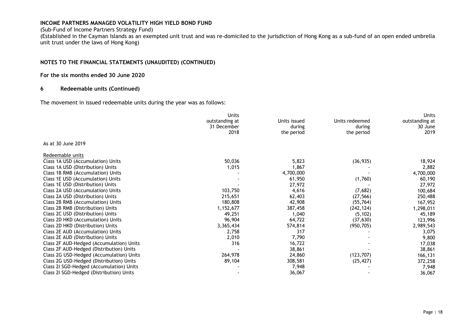#### (Sub-Fund of Income Partners Strategy Fund)

(Established in the Cayman Islands as an exempted unit trust and was re-domiciled to the jurisdiction of Hong Kong as a sub-fund of an open ended umbrella unit trust under the laws of Hong Kong)

#### **NOTES TO THE FINANCIAL STATEMENTS (UNAUDITED) (CONTINUED)**

#### **For the six months ended 30 June 2020**

#### **6 Redeemable units (Continued)**

The movement in issued redeemable units during the year was as follows:

|                                          | <b>Units</b>   |              |                | <b>Units</b>   |
|------------------------------------------|----------------|--------------|----------------|----------------|
|                                          | outstanding at | Units issued | Units redeemed | outstanding at |
|                                          | 31 December    | during       | during         | 30 June        |
|                                          | 2018           | the period   | the period     | 2019           |
| As at 30 June 2019                       |                |              |                |                |
| Redeemable units                         |                |              |                |                |
| Class 1A USD (Accumulation) Units        | 50,036         | 5,823        | (36, 935)      | 18,924         |
| Class 1A USD (Distribution) Units        | 1,015          | 1,867        |                | 2,882          |
| Class 1B RMB (Accumulation) Units        |                | 4,700,000    |                | 4,700,000      |
| Class 1E USD (Accumulation) Units        |                | 61,950       | (1,760)        | 60,190         |
| Class 1E USD (Distribution) Units        |                | 27,972       |                | 27,972         |
| Class 2A USD (Accumulation) Units        | 103,750        | 4,616        | (7,682)        | 100,684        |
| Class 2A USD (Distribution) Units        | 215,651        | 62,403       | (27, 566)      | 250,488        |
| Class 2B RMB (Accumulation) Units        | 180,808        | 42,908       | (55, 764)      | 167,952        |
| Class 2B RMB (Distribution) Units        | 1,152,677      | 387,458      | (242, 124)     | 1,298,011      |
| Class 2C USD (Distribution) Units        | 49,251         | 1,040        | (5, 102)       | 45,189         |
| Class 2D HKD (Accumulation) Units        | 96,904         | 64,722       | (37, 630)      | 123,996        |
| Class 2D HKD (Distribution) Units        | 3,365,434      | 574,814      | (950, 705)     | 2,989,543      |
| Class 2E AUD (Accumulation) Units        | 2,758          | 317          |                | 3,075          |
| Class 2E AUD (Distribution) Units        | 2,010          | 7,790        |                | 9,800          |
| Class 2F AUD-Hedged (Accumulation) Units | 316            | 16,722       |                | 17,038         |
| Class 2F AUD-Hedged (Distribution) Units |                | 38,861       |                | 38,861         |
| Class 2G USD-Hedged (Accumulation) Units | 264,978        | 24,860       | (123, 707)     | 166,131        |
| Class 2G USD-Hedged (Distribution) Units | 89,104         | 308,581      | (25, 427)      | 372,258        |
| Class 2I SGD-Hedged (Accumulation) Units |                | 7,948        |                | 7,948          |
| Class 21 SGD-Hedged (Distribution) Units |                | 36,067       |                | 36,067         |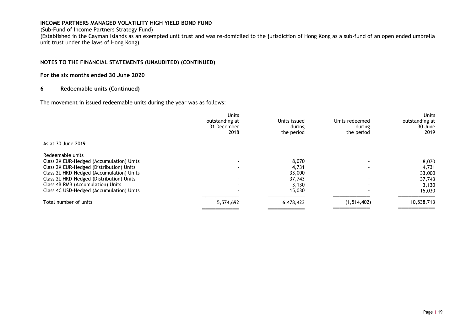#### (Sub-Fund of Income Partners Strategy Fund)

(Established in the Cayman Islands as an exempted unit trust and was re-domiciled to the jurisdiction of Hong Kong as a sub-fund of an open ended umbrella unit trust under the laws of Hong Kong)

#### **NOTES TO THE FINANCIAL STATEMENTS (UNAUDITED) (CONTINUED)**

#### **For the six months ended 30 June 2020**

#### **6 Redeemable units (Continued)**

The movement in issued redeemable units during the year was as follows:

|                                          | <b>Units</b><br>outstanding at<br>31 December<br>2018 | Units issued<br>during<br>the period | Units redeemed<br>during<br>the period | <b>Units</b><br>outstanding at<br>30 June<br>2019 |
|------------------------------------------|-------------------------------------------------------|--------------------------------------|----------------------------------------|---------------------------------------------------|
| As at 30 June 2019                       |                                                       |                                      |                                        |                                                   |
| Redeemable units                         |                                                       |                                      |                                        |                                                   |
| Class 2K EUR-Hedged (Accumulation) Units | $\overline{\phantom{a}}$                              | 8,070                                |                                        | 8,070                                             |
| Class 2K EUR-Hedged (Distribution) Units | $\blacksquare$                                        | 4,731                                | $\blacksquare$                         | 4,731                                             |
| Class 2L HKD-Hedged (Accumulation) Units |                                                       | 33,000                               |                                        | 33,000                                            |
| Class 2L HKD-Hedged (Distribution) Units | $\blacksquare$                                        | 37.743                               |                                        | 37,743                                            |
| Class 4B RMB (Accumulation) Units        | $\overline{\phantom{a}}$                              | 3.130                                |                                        | 3,130                                             |
| Class 4C USD-Hedged (Accumulation) Units | $\overline{\phantom{a}}$                              | 15,030                               |                                        | 15,030                                            |
| Total number of units                    | 5,574,692                                             | 6,478,423                            | (1, 514, 402)                          | 10,538,713                                        |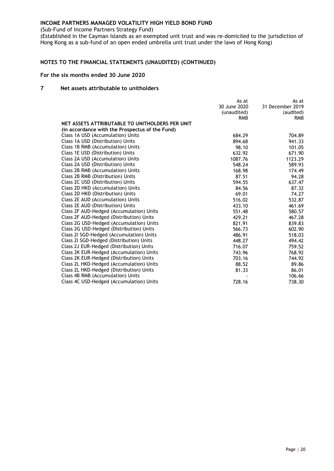(Sub-Fund of Income Partners Strategy Fund)

(Established in the Cayman Islands as an exempted unit trust and was re-domiciled to the jurisdiction of Hong Kong as a sub-fund of an open ended umbrella unit trust under the laws of Hong Kong)

#### **NOTES TO THE FINANCIAL STATEMENTS (UNAUDITED) (CONTINUED)**

#### **For the six months ended 30 June 2020**

#### **7 Net assets attributable to unitholders**

|                                                 | As at<br>30 June 2020<br>(unaudited)<br><b>RMB</b> | As at<br>31 December 2019<br>(audited)<br><b>RMB</b> |
|-------------------------------------------------|----------------------------------------------------|------------------------------------------------------|
| NET ASSETS ATTRIBUTABLE TO UNITHOLDERS PER UNIT |                                                    |                                                      |
| (in accordance with the Prospectus of the Fund) |                                                    |                                                      |
| Class 1A USD (Accumulation) Units               | 684.29                                             | 704.89                                               |
| Class 1A USD (Distribution) Units               | 894.68                                             | 941.33                                               |
| Class 1B RMB (Accumulation) Units               | 98.10                                              | 101.05                                               |
| Class 1E USD (Distribution) Units               | 632.92                                             | 671.90                                               |
| Class 2A USD (Accumulation) Units               | 1087.76                                            | 1123.29                                              |
| Class 2A USD (Distribution) Units               | 548.24                                             | 589.93                                               |
| Class 2B RMB (Accumulation) Units               | 168.98                                             | 174.49                                               |
| Class 2B RMB (Distribution) Units               | 87.51                                              | 94.28                                                |
| Class 2C USD (Distribution) Units               | 594.55                                             | 637.47                                               |
| Class 2D HKD (Accumulation) Units               | 84.56                                              | 87.32                                                |
| Class 2D HKD (Distribution) Units               | 69.01                                              | 74.27                                                |
| Class 2E AUD (Accumulation) Units               | 516.02                                             | 532.87                                               |
| Class 2E AUD (Distribution) Units               | 433.10                                             | 461.69                                               |
| Class 2F AUD-Hedged (Accumulation) Units        | 551.48                                             | 580.57                                               |
| Class 2F AUD-Hedged (Distribution) Units        | 429.21                                             | 467.28                                               |
| Class 2G USD-Hedged (Accumulation) Units        | 821.91                                             | 839.83                                               |
| Class 2G USD-Hedged (Distribution) Units        | 566.73                                             | 602.90                                               |
| Class 21 SGD-Hedged (Accumulation) Units        | 486.91                                             | 518.03                                               |
| Class 2I SGD-Hedged (Distribution) Units        | 448.27                                             | 494.42                                               |
| Class 2J EUR-Hedged (Distribution) Units        | 716.07                                             | 759.52                                               |
| Class 2K EUR-Hedged (Accumulation) Units        | 743.96                                             | 768.92                                               |
| Class 2K EUR-Hedged (Distribution) Units        | 703.16                                             | 744.92                                               |
| Class 2L HKD-Hedged (Accumulation) Units        | 88.52                                              | 89.86                                                |
| Class 2L HKD-Hedged (Distribution) Units        | 81.33                                              | 86.01                                                |
| Class 4B RMB (Accumulation) Units               |                                                    | 106.66                                               |
| Class 4C USD-Hedged (Accumulation) Units        | 728.16                                             | 738.30                                               |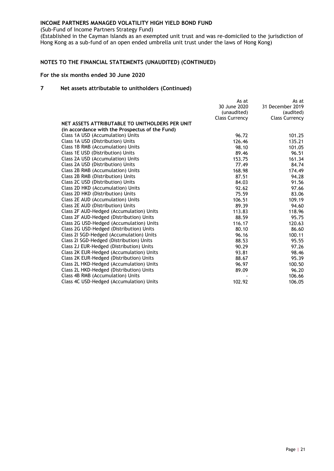(Sub-Fund of Income Partners Strategy Fund)

(Established in the Cayman Islands as an exempted unit trust and was re-domiciled to the jurisdiction of Hong Kong as a sub-fund of an open ended umbrella unit trust under the laws of Hong Kong)

#### **NOTES TO THE FINANCIAL STATEMENTS (UNAUDITED) (CONTINUED)**

#### **For the six months ended 30 June 2020**

#### **7 Net assets attributable to unitholders (Continued)**

|                                                 | As at<br>30 June 2020<br>(unaudited) | As at<br>31 December 2019<br>(audited) |
|-------------------------------------------------|--------------------------------------|----------------------------------------|
| NET ASSETS ATTRIBUTABLE TO UNITHOLDERS PER UNIT | <b>Class Currency</b>                | <b>Class Currency</b>                  |
|                                                 |                                      |                                        |
| (in accordance with the Prospectus of the Fund) |                                      |                                        |
| Class 1A USD (Accumulation) Units               | 96.72                                | 101.25                                 |
| Class 1A USD (Distribution) Units               | 126.46                               | 135.21                                 |
| Class 1B RMB (Accumulation) Units               | 98.10                                | 101.05                                 |
| Class 1E USD (Distribution) Units               | 89.46                                | 96.51                                  |
| Class 2A USD (Accumulation) Units               | 153.75                               | 161.34                                 |
| Class 2A USD (Distribution) Units               | 77.49                                | 84.74                                  |
| Class 2B RMB (Accumulation) Units               | 168.98                               | 174.49                                 |
| Class 2B RMB (Distribution) Units               | 87.51                                | 94.28                                  |
| Class 2C USD (Distribution) Units               | 84.03                                | 91.56                                  |
| Class 2D HKD (Accumulation) Units               | 92.62                                | 97.66                                  |
| Class 2D HKD (Distribution) Units               | 75.59                                | 83.06                                  |
| Class 2E AUD (Accumulation) Units               | 106.51                               | 109.19                                 |
| Class 2E AUD (Distribution) Units               | 89.39                                | 94.60                                  |
| Class 2F AUD-Hedged (Accumulation) Units        | 113.83                               | 118.96                                 |
| Class 2F AUD-Hedged (Distribution) Units        | 88.59                                | 95.75                                  |
| Class 2G USD-Hedged (Accumulation) Units        | 116.17                               | 120.63                                 |
| Class 2G USD-Hedged (Distribution) Units        | 80.10                                | 86.60                                  |
| Class 2I SGD-Hedged (Accumulation) Units        | 96.16                                | 100.11                                 |
| Class 21 SGD-Hedged (Distribution) Units        | 88.53                                | 95.55                                  |
| Class 2J EUR-Hedged (Distribution) Units        | 90.29                                | 97.26                                  |
| Class 2K EUR-Hedged (Accumulation) Units        | 93.81                                | 98.46                                  |
| Class 2K EUR-Hedged (Distribution) Units        | 88.67                                | 95.39                                  |
| Class 2L HKD-Hedged (Accumulation) Units        | 96.97                                | 100.50                                 |
| Class 2L HKD-Hedged (Distribution) Units        | 89.09                                | 96.20                                  |
| Class 4B RMB (Accumulation) Units               |                                      | 106.66                                 |
| Class 4C USD-Hedged (Accumulation) Units        | 102.92                               | 106.05                                 |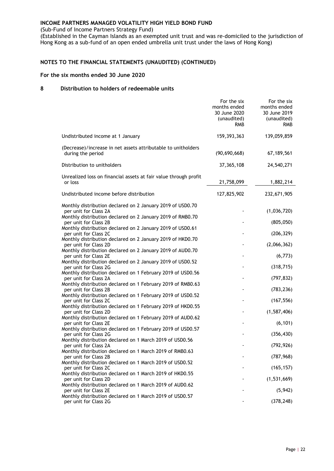(Sub-Fund of Income Partners Strategy Fund)

(Established in the Cayman Islands as an exempted unit trust and was re-domiciled to the jurisdiction of Hong Kong as a sub-fund of an open ended umbrella unit trust under the laws of Hong Kong)

#### **NOTES TO THE FINANCIAL STATEMENTS (UNAUDITED) (CONTINUED)**

#### **For the six months ended 30 June 2020**

#### **8 Distribution to holders of redeemable units**

|                                                                                      | For the six<br>months ended<br>30 June 2020<br>(unaudited)<br><b>RMB</b> | For the six<br>months ended<br>30 June 2019<br>(unaudited)<br>RMB |
|--------------------------------------------------------------------------------------|--------------------------------------------------------------------------|-------------------------------------------------------------------|
| Undistributed income at 1 January                                                    | 159, 393, 363                                                            | 139,059,859                                                       |
| (Decrease)/increase in net assets attributable to unitholders<br>during the period   | (90, 690, 668)                                                           | 67, 189, 561                                                      |
| Distribution to unitholders                                                          | 37, 365, 108                                                             | 24,540,271                                                        |
| Unrealized loss on financial assets at fair value through profit<br>or loss          | 21,758,099                                                               | 1,882,214                                                         |
| Undistributed income before distribution                                             | 127,825,902                                                              | 232,671,905                                                       |
| Monthly distribution declared on 2 January 2019 of USD0.70<br>per unit for Class 2A  |                                                                          | (1,036,720)                                                       |
| Monthly distribution declared on 2 January 2019 of RMB0.70<br>per unit for Class 2B  |                                                                          | (805, 050)                                                        |
| Monthly distribution declared on 2 January 2019 of USD0.61<br>per unit for Class 2C  |                                                                          | (206, 329)                                                        |
| Monthly distribution declared on 2 January 2019 of HKD0.70<br>per unit for Class 2D  |                                                                          | (2,066,362)                                                       |
| Monthly distribution declared on 2 January 2019 of AUD0.70<br>per unit for Class 2E  |                                                                          | (6, 773)                                                          |
| Monthly distribution declared on 2 January 2019 of USD0.52<br>per unit for Class 2G  |                                                                          | (318, 715)                                                        |
| Monthly distribution declared on 1 February 2019 of USD0.56<br>per unit for Class 2A |                                                                          | (797, 832)                                                        |
| Monthly distribution declared on 1 February 2019 of RMB0.63<br>per unit for Class 2B |                                                                          | (783, 236)                                                        |
| Monthly distribution declared on 1 February 2019 of USD0.52                          |                                                                          |                                                                   |
| per unit for Class 2C<br>Monthly distribution declared on 1 February 2019 of HKD0.55 |                                                                          | (167, 556)                                                        |
| per unit for Class 2D<br>Monthly distribution declared on 1 February 2019 of AUD0.62 |                                                                          | (1, 587, 406)                                                     |
| per unit for Class 2E<br>Monthly distribution declared on 1 February 2019 of USD0.57 |                                                                          | (6, 101)                                                          |
| per unit for Class 2G<br>Monthly distribution declared on 1 March 2019 of USD0.56    |                                                                          | (356, 430)                                                        |
| per unit for Class 2A                                                                |                                                                          | (792, 926)                                                        |
| Monthly distribution declared on 1 March 2019 of RMB0.63<br>per unit for Class 2B    |                                                                          | (787, 968)                                                        |
| Monthly distribution declared on 1 March 2019 of USD0.52<br>per unit for Class 2C    |                                                                          | (165, 157)                                                        |
| Monthly distribution declared on 1 March 2019 of HKD0.55<br>per unit for Class 2D    |                                                                          | (1,531,669)                                                       |
| Monthly distribution declared on 1 March 2019 of AUD0.62<br>per unit for Class 2E    |                                                                          | (5, 942)                                                          |
| Monthly distribution declared on 1 March 2019 of USD0.57<br>per unit for Class 2G    |                                                                          | (378, 248)                                                        |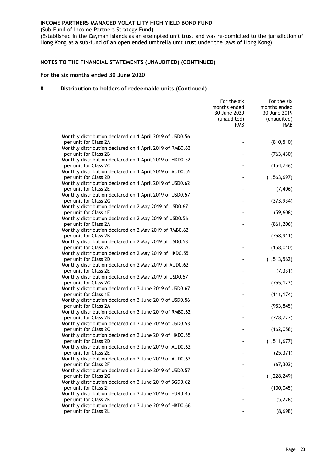(Sub-Fund of Income Partners Strategy Fund)

(Established in the Cayman Islands as an exempted unit trust and was re-domiciled to the jurisdiction of Hong Kong as a sub-fund of an open ended umbrella unit trust under the laws of Hong Kong)

#### **NOTES TO THE FINANCIAL STATEMENTS (UNAUDITED) (CONTINUED)**

#### **For the six months ended 30 June 2020**

|                                                                                   | For the six<br>months ended<br>30 June 2020<br>(unaudited)<br><b>RMB</b> | For the six<br>months ended<br>30 June 2019<br>(unaudited)<br>RMB. |
|-----------------------------------------------------------------------------------|--------------------------------------------------------------------------|--------------------------------------------------------------------|
| Monthly distribution declared on 1 April 2019 of USD0.56                          |                                                                          |                                                                    |
| per unit for Class 2A<br>Monthly distribution declared on 1 April 2019 of RMB0.63 |                                                                          | (810, 510)                                                         |
| per unit for Class 2B                                                             |                                                                          | (763, 430)                                                         |
| Monthly distribution declared on 1 April 2019 of HKD0.52<br>per unit for Class 2C |                                                                          | (154, 746)                                                         |
| Monthly distribution declared on 1 April 2019 of AUD0.55                          |                                                                          |                                                                    |
| per unit for Class 2D<br>Monthly distribution declared on 1 April 2019 of USD0.62 |                                                                          | (1, 563, 697)                                                      |
| per unit for Class 2E<br>Monthly distribution declared on 1 April 2019 of USD0.57 |                                                                          | (7, 406)                                                           |
| per unit for Class 2G                                                             |                                                                          | (373, 934)                                                         |
| Monthly distribution declared on 2 May 2019 of USD0.67<br>per unit for Class 1E   |                                                                          | (59, 608)                                                          |
| Monthly distribution declared on 2 May 2019 of USD0.56                            |                                                                          |                                                                    |
| per unit for Class 2A                                                             |                                                                          | (861, 206)                                                         |
| Monthly distribution declared on 2 May 2019 of RMB0.62<br>per unit for Class 2B   |                                                                          | (758, 911)                                                         |
| Monthly distribution declared on 2 May 2019 of USD0.53                            |                                                                          |                                                                    |
| per unit for Class 2C<br>Monthly distribution declared on 2 May 2019 of HKD0.55   |                                                                          | (158, 010)                                                         |
| per unit for Class 2D                                                             |                                                                          | (1, 513, 562)                                                      |
| Monthly distribution declared on 2 May 2019 of AUD0.62<br>per unit for Class 2E   |                                                                          | (7, 331)                                                           |
| Monthly distribution declared on 2 May 2019 of USD0.57                            |                                                                          |                                                                    |
| per unit for Class 2G<br>Monthly distribution declared on 3 June 2019 of USD0.67  |                                                                          | (755, 123)                                                         |
| per unit for Class 1E                                                             |                                                                          | (111, 174)                                                         |
| Monthly distribution declared on 3 June 2019 of USD0.56<br>per unit for Class 2A  |                                                                          | (953, 845)                                                         |
| Monthly distribution declared on 3 June 2019 of RMB0.62                           |                                                                          |                                                                    |
| per unit for Class 2B<br>Monthly distribution declared on 3 June 2019 of USD0.53  |                                                                          | (778, 727)                                                         |
| per unit for Class 2C                                                             |                                                                          | (162, 058)                                                         |
| Monthly distribution declared on 3 June 2019 of HKD0.55                           |                                                                          |                                                                    |
| per unit for Class 2D<br>Monthly distribution declared on 3 June 2019 of AUD0.62  |                                                                          | (1, 511, 677)                                                      |
| per unit for Class 2E                                                             |                                                                          | (25, 371)                                                          |
| Monthly distribution declared on 3 June 2019 of AUD0.62<br>per unit for Class 2F  |                                                                          | (67, 303)                                                          |
| Monthly distribution declared on 3 June 2019 of USD0.57                           |                                                                          |                                                                    |
| per unit for Class 2G<br>Monthly distribution declared on 3 June 2019 of SGD0.62  |                                                                          | (1,228,249)                                                        |
| per unit for Class 21                                                             |                                                                          | (100, 045)                                                         |
| Monthly distribution declared on 3 June 2019 of EUR0.45<br>per unit for Class 2K  |                                                                          |                                                                    |
| Monthly distribution declared on 3 June 2019 of HKD0.66                           |                                                                          | (5, 228)                                                           |
| per unit for Class 2L                                                             |                                                                          | (8,698)                                                            |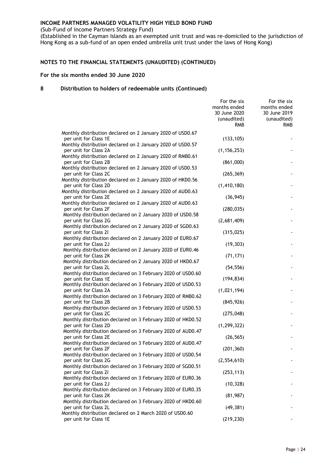(Sub-Fund of Income Partners Strategy Fund)

(Established in the Cayman Islands as an exempted unit trust and was re-domiciled to the jurisdiction of Hong Kong as a sub-fund of an open ended umbrella unit trust under the laws of Hong Kong)

#### **NOTES TO THE FINANCIAL STATEMENTS (UNAUDITED) (CONTINUED)**

#### **For the six months ended 30 June 2020**

|                                                                                      | For the six<br>months ended<br>30 June 2020<br>(unaudited)<br><b>RMB</b> | For the six<br>months ended<br>30 June 2019<br>(unaudited)<br>RMB |
|--------------------------------------------------------------------------------------|--------------------------------------------------------------------------|-------------------------------------------------------------------|
| Monthly distribution declared on 2 January 2020 of USD0.67                           |                                                                          |                                                                   |
| per unit for Class 1E                                                                | (133, 105)                                                               |                                                                   |
| Monthly distribution declared on 2 January 2020 of USD0.57                           |                                                                          |                                                                   |
| per unit for Class 2A                                                                | (1, 156, 253)                                                            |                                                                   |
| Monthly distribution declared on 2 January 2020 of RMB0.61                           |                                                                          |                                                                   |
| per unit for Class 2B                                                                | (861,000)                                                                |                                                                   |
| Monthly distribution declared on 2 January 2020 of USD0.53                           |                                                                          |                                                                   |
| per unit for Class 2C                                                                | (265, 369)                                                               |                                                                   |
| Monthly distribution declared on 2 January 2020 of HKD0.56                           |                                                                          |                                                                   |
| per unit for Class 2D                                                                | (1, 410, 180)                                                            |                                                                   |
| Monthly distribution declared on 2 January 2020 of AUD0.63                           |                                                                          |                                                                   |
| per unit for Class 2E                                                                | (36, 945)                                                                |                                                                   |
| Monthly distribution declared on 2 January 2020 of AUD0.63                           |                                                                          |                                                                   |
| per unit for Class 2F                                                                | (280, 035)                                                               |                                                                   |
| Monthly distribution declared on 2 January 2020 of USD0.58                           |                                                                          |                                                                   |
| per unit for Class 2G                                                                | (2,681,409)                                                              |                                                                   |
| Monthly distribution declared on 2 January 2020 of SGD0.63                           |                                                                          |                                                                   |
| per unit for Class 21                                                                | (315, 025)                                                               |                                                                   |
| Monthly distribution declared on 2 January 2020 of EUR0.67                           |                                                                          |                                                                   |
| per unit for Class 2J                                                                | (19, 303)                                                                |                                                                   |
| Monthly distribution declared on 2 January 2020 of EUR0.46                           |                                                                          |                                                                   |
| per unit for Class 2K                                                                | (71, 171)                                                                |                                                                   |
| Monthly distribution declared on 2 January 2020 of HKD0.67                           |                                                                          |                                                                   |
| per unit for Class 2L                                                                | (54, 556)                                                                |                                                                   |
| Monthly distribution declared on 3 February 2020 of USD0.60                          |                                                                          |                                                                   |
| per unit for Class 1E                                                                | (194, 834)                                                               |                                                                   |
| Monthly distribution declared on 3 February 2020 of USD0.53                          |                                                                          |                                                                   |
| per unit for Class 2A                                                                | (1,021,194)                                                              |                                                                   |
| Monthly distribution declared on 3 February 2020 of RMB0.62                          |                                                                          |                                                                   |
| per unit for Class 2B                                                                | (845, 926)                                                               |                                                                   |
| Monthly distribution declared on 3 February 2020 of USD0.53                          |                                                                          |                                                                   |
| per unit for Class 2C                                                                | (275, 048)                                                               |                                                                   |
| Monthly distribution declared on 3 February 2020 of HKD0.52                          |                                                                          |                                                                   |
| per unit for Class 2D<br>Monthly distribution declared on 3 February 2020 of AUD0.47 | (1, 299, 322)                                                            |                                                                   |
| per unit for Class 2E                                                                | (26, 565)                                                                |                                                                   |
| Monthly distribution declared on 3 February 2020 of AUD0.47                          |                                                                          |                                                                   |
| per unit for Class 2F                                                                | (201, 360)                                                               |                                                                   |
| Monthly distribution declared on 3 February 2020 of USD0.54                          |                                                                          |                                                                   |
| per unit for Class 2G                                                                | (2, 554, 610)                                                            |                                                                   |
| Monthly distribution declared on 3 February 2020 of SGD0.51                          |                                                                          |                                                                   |
| per unit for Class 21                                                                | (253, 113)                                                               |                                                                   |
| Monthly distribution declared on 3 February 2020 of EUR0.36                          |                                                                          |                                                                   |
| per unit for Class 2J                                                                | (10, 328)                                                                |                                                                   |
| Monthly distribution declared on 3 February 2020 of EUR0.35                          |                                                                          |                                                                   |
| per unit for Class 2K                                                                | (81, 987)                                                                |                                                                   |
| Monthly distribution declared on 3 February 2020 of HKD0.60                          |                                                                          |                                                                   |
| per unit for Class 2L                                                                | (49, 381)                                                                |                                                                   |
| Monthly distribution declared on 2 March 2020 of USD0.60                             |                                                                          |                                                                   |
| per unit for Class 1E                                                                | (219, 230)                                                               |                                                                   |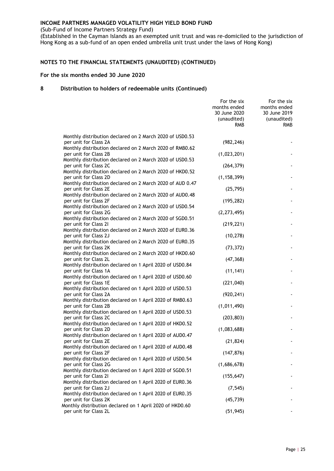(Sub-Fund of Income Partners Strategy Fund)

(Established in the Cayman Islands as an exempted unit trust and was re-domiciled to the jurisdiction of Hong Kong as a sub-fund of an open ended umbrella unit trust under the laws of Hong Kong)

#### **NOTES TO THE FINANCIAL STATEMENTS (UNAUDITED) (CONTINUED)**

#### **For the six months ended 30 June 2020**

|                                                                                                                                                | For the six<br>months ended<br>30 June 2020<br>(unaudited)<br><b>RMB</b> | For the six<br>months ended<br>30 June 2019<br>(unaudited)<br>RMB. |
|------------------------------------------------------------------------------------------------------------------------------------------------|--------------------------------------------------------------------------|--------------------------------------------------------------------|
| Monthly distribution declared on 2 March 2020 of USD0.53                                                                                       |                                                                          |                                                                    |
| per unit for Class 2A                                                                                                                          | (982, 246)                                                               |                                                                    |
| Monthly distribution declared on 2 March 2020 of RMB0.62<br>per unit for Class 2B                                                              | (1,023,201)                                                              |                                                                    |
| Monthly distribution declared on 2 March 2020 of USD0.53<br>per unit for Class 2C                                                              | (264, 379)                                                               |                                                                    |
| Monthly distribution declared on 2 March 2020 of HKD0.52<br>per unit for Class 2D<br>Monthly distribution declared on 2 March 2020 of AUD 0.47 | (1, 158, 399)                                                            |                                                                    |
| per unit for Class 2E<br>Monthly distribution declared on 2 March 2020 of AUD0.48                                                              | (25, 795)                                                                |                                                                    |
| per unit for Class 2F<br>Monthly distribution declared on 2 March 2020 of USD0.54                                                              | (195, 282)                                                               |                                                                    |
| per unit for Class 2G<br>Monthly distribution declared on 2 March 2020 of SGD0.51                                                              | (2, 273, 495)                                                            |                                                                    |
| per unit for Class 21<br>Monthly distribution declared on 2 March 2020 of EUR0.36                                                              | (219, 221)                                                               |                                                                    |
| per unit for Class 2J<br>Monthly distribution declared on 2 March 2020 of EUR0.35                                                              | (10, 278)                                                                |                                                                    |
| per unit for Class 2K<br>Monthly distribution declared on 2 March 2020 of HKD0.60                                                              | (73, 372)                                                                |                                                                    |
| per unit for Class 2L<br>Monthly distribution declared on 1 April 2020 of USD0.84                                                              | (47, 368)                                                                |                                                                    |
| per unit for Class 1A<br>Monthly distribution declared on 1 April 2020 of USD0.60                                                              | (11, 141)                                                                |                                                                    |
| per unit for Class 1E<br>Monthly distribution declared on 1 April 2020 of USD0.53                                                              | (221, 040)                                                               |                                                                    |
| per unit for Class 2A<br>Monthly distribution declared on 1 April 2020 of RMB0.63                                                              | (920, 241)                                                               |                                                                    |
| per unit for Class 2B<br>Monthly distribution declared on 1 April 2020 of USD0.53                                                              | (1,011,490)                                                              |                                                                    |
| per unit for Class 2C<br>Monthly distribution declared on 1 April 2020 of HKD0.52                                                              | (203, 803)                                                               |                                                                    |
| per unit for Class 2D<br>Monthly distribution declared on 1 April 2020 of AUD0.47                                                              | (1,083,688)                                                              |                                                                    |
| per unit for Class 2E<br>Monthly distribution declared on 1 April 2020 of AUD0.48                                                              | (21, 824)                                                                |                                                                    |
| per unit for Class 2F<br>Monthly distribution declared on 1 April 2020 of USD0.54                                                              | (147, 876)                                                               |                                                                    |
| per unit for Class 2G<br>Monthly distribution declared on 1 April 2020 of SGD0.51                                                              | (1,686,678)                                                              |                                                                    |
| per unit for Class 21                                                                                                                          | (155, 647)                                                               |                                                                    |
| Monthly distribution declared on 1 April 2020 of EUR0.36<br>per unit for Class 2J                                                              | (7, 545)                                                                 |                                                                    |
| Monthly distribution declared on 1 April 2020 of EUR0.35<br>per unit for Class 2K                                                              | (45, 739)                                                                |                                                                    |
| Monthly distribution declared on 1 April 2020 of HKD0.60<br>per unit for Class 2L                                                              | (51, 945)                                                                |                                                                    |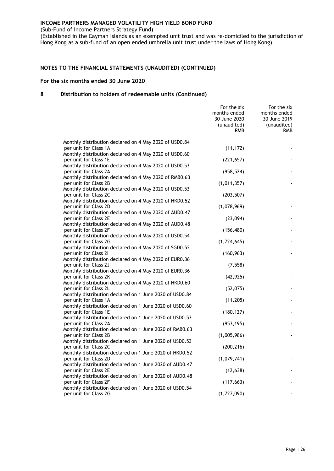(Sub-Fund of Income Partners Strategy Fund)

(Established in the Cayman Islands as an exempted unit trust and was re-domiciled to the jurisdiction of Hong Kong as a sub-fund of an open ended umbrella unit trust under the laws of Hong Kong)

#### **NOTES TO THE FINANCIAL STATEMENTS (UNAUDITED) (CONTINUED)**

#### **For the six months ended 30 June 2020**

|                                                                                  | For the six<br>months ended<br>30 June 2020<br>(unaudited)<br><b>RMB</b> | For the six<br>months ended<br>30 June 2019<br>(unaudited)<br><b>RMB</b> |
|----------------------------------------------------------------------------------|--------------------------------------------------------------------------|--------------------------------------------------------------------------|
| Monthly distribution declared on 4 May 2020 of USD0.84                           |                                                                          |                                                                          |
| per unit for Class 1A                                                            | (11, 172)                                                                |                                                                          |
| Monthly distribution declared on 4 May 2020 of USD0.60                           |                                                                          |                                                                          |
| per unit for Class 1E<br>Monthly distribution declared on 4 May 2020 of USD0.53  | (221, 657)                                                               |                                                                          |
| per unit for Class 2A                                                            | (958, 524)                                                               |                                                                          |
| Monthly distribution declared on 4 May 2020 of RMB0.63                           |                                                                          |                                                                          |
| per unit for Class 2B                                                            | (1,011,357)                                                              |                                                                          |
| Monthly distribution declared on 4 May 2020 of USD0.53                           |                                                                          |                                                                          |
| per unit for Class 2C<br>Monthly distribution declared on 4 May 2020 of HKD0.52  | (203, 507)                                                               |                                                                          |
| per unit for Class 2D                                                            | (1,078,969)                                                              |                                                                          |
| Monthly distribution declared on 4 May 2020 of AUD0.47                           |                                                                          |                                                                          |
| per unit for Class 2E                                                            | (23,094)                                                                 |                                                                          |
| Monthly distribution declared on 4 May 2020 of AUD0.48                           |                                                                          |                                                                          |
| per unit for Class 2F<br>Monthly distribution declared on 4 May 2020 of USD0.54  | (156, 480)                                                               |                                                                          |
| per unit for Class 2G                                                            | (1,724,645)                                                              |                                                                          |
| Monthly distribution declared on 4 May 2020 of SGD0.52                           |                                                                          |                                                                          |
| per unit for Class 21                                                            | (160, 963)                                                               |                                                                          |
| Monthly distribution declared on 4 May 2020 of EUR0.36                           |                                                                          |                                                                          |
| per unit for Class 2J                                                            | (7, 558)                                                                 |                                                                          |
| Monthly distribution declared on 4 May 2020 of EUR0.36                           |                                                                          |                                                                          |
| per unit for Class 2K<br>Monthly distribution declared on 4 May 2020 of HKD0.60  | (42, 925)                                                                |                                                                          |
| per unit for Class 2L                                                            | (52,075)                                                                 |                                                                          |
| Monthly distribution declared on 1 June 2020 of USD0.84                          |                                                                          |                                                                          |
| per unit for Class 1A                                                            | (11, 205)                                                                |                                                                          |
| Monthly distribution declared on 1 June 2020 of USD0.60                          |                                                                          |                                                                          |
| per unit for Class 1E<br>Monthly distribution declared on 1 June 2020 of USD0.53 | (180, 127)                                                               |                                                                          |
| per unit for Class 2A                                                            | (953, 195)                                                               |                                                                          |
| Monthly distribution declared on 1 June 2020 of RMB0.63                          |                                                                          |                                                                          |
| per unit for Class 2B                                                            | (1,005,986)                                                              |                                                                          |
| Monthly distribution declared on 1 June 2020 of USD0.53                          |                                                                          |                                                                          |
| per unit for Class 2C                                                            | (200, 216)                                                               |                                                                          |
| Monthly distribution declared on 1 June 2020 of HKD0.52<br>per unit for Class 2D | (1,079,741)                                                              |                                                                          |
| Monthly distribution declared on 1 June 2020 of AUD0.47                          |                                                                          |                                                                          |
| per unit for Class 2E                                                            | (12, 638)                                                                |                                                                          |
| Monthly distribution declared on 1 June 2020 of AUD0.48                          |                                                                          |                                                                          |
| per unit for Class 2F                                                            | (117, 663)                                                               |                                                                          |
| Monthly distribution declared on 1 June 2020 of USD0.54                          |                                                                          |                                                                          |
| per unit for Class 2G                                                            | (1,727,090)                                                              |                                                                          |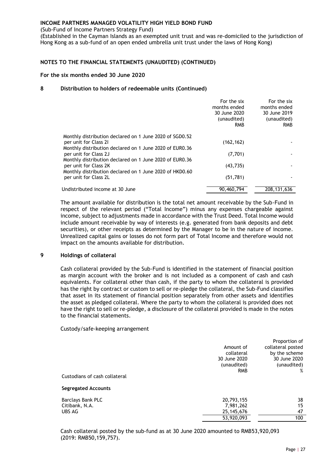(Sub-Fund of Income Partners Strategy Fund)

(Established in the Cayman Islands as an exempted unit trust and was re-domiciled to the jurisdiction of Hong Kong as a sub-fund of an open ended umbrella unit trust under the laws of Hong Kong)

#### **NOTES TO THE FINANCIAL STATEMENTS (UNAUDITED) (CONTINUED)**

#### **For the six months ended 30 June 2020**

#### **8 Distribution to holders of redeemable units (Continued)**

|                                                                                  | For the six<br>months ended<br>30 June 2020<br>(unaudited)<br><b>RMB</b> | For the six<br>months ended<br>30 June 2019<br>(unaudited)<br><b>RMB</b> |
|----------------------------------------------------------------------------------|--------------------------------------------------------------------------|--------------------------------------------------------------------------|
| Monthly distribution declared on 1 June 2020 of SGD0.52                          |                                                                          |                                                                          |
| per unit for Class 21                                                            | (162, 162)                                                               |                                                                          |
| Monthly distribution declared on 1 June 2020 of EUR0.36                          |                                                                          |                                                                          |
| per unit for Class 2J<br>Monthly distribution declared on 1 June 2020 of EUR0.36 | (7,701)                                                                  |                                                                          |
| per unit for Class 2K                                                            | (43, 735)                                                                |                                                                          |
| Monthly distribution declared on 1 June 2020 of HKD0.60                          |                                                                          |                                                                          |
| per unit for Class 2L                                                            | (51, 781)                                                                |                                                                          |
| Undistributed income at 30 June                                                  | 90,460,794                                                               | 208, 131, 636                                                            |

The amount available for distribution is the total net amount receivable by the Sub-Fund in respect of the relevant period ("Total Income") minus any expenses chargeable against income, subject to adjustments made in accordance with the Trust Deed. Total Income would include amount receivable by way of interests (e.g. generated from bank deposits and debt securities), or other receipts as determined by the Manager to be in the nature of income. Unrealized capital gains or losses do not form part of Total Income and therefore would not impact on the amounts available for distribution.

#### **9 Holdings of collateral**

Cash collateral provided by the Sub-Fund is identified in the statement of financial position as margin account with the broker and is not included as a component of cash and cash equivalents. For collateral other than cash, if the party to whom the collateral is provided has the right by contract or custom to sell or re-pledge the collateral, the Sub-Fund classifies that asset in its statement of financial position separately from other assets and identifies the asset as pledged collateral. Where the party to whom the collateral is provided does not have the right to sell or re-pledge, a disclosure of the collateral provided is made in the notes to the financial statements.

#### Custody/safe-keeping arrangement

|                               |              | Proportion of     |
|-------------------------------|--------------|-------------------|
|                               | Amount of    | collateral posted |
|                               | collateral   | by the scheme     |
|                               | 30 June 2020 | 30 June 2020      |
|                               | (unaudited)  | (unaudited)       |
|                               | <b>RMB</b>   | %                 |
| Custodians of cash collateral |              |                   |
| <b>Segregated Accounts</b>    |              |                   |
| Barclays Bank PLC             | 20,793,155   | 38                |
| Citibank, N.A.                | 7,981,262    | 15                |
| UBS AG                        | 25, 145, 676 | 47                |
|                               | 53,920,093   | 100               |
|                               |              |                   |

Cash collateral posted by the sub-fund as at 30 June 2020 amounted to RMB53,920,093 (2019: RMB50,159,757).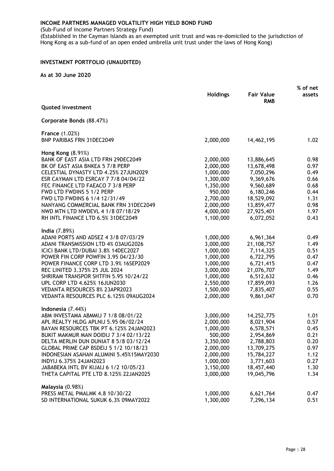(Sub-Fund of Income Partners Strategy Fund)

(Established in the Cayman Islands as an exempted unit trust and was re-domiciled to the jurisdiction of Hong Kong as a sub-fund of an open ended umbrella unit trust under the laws of Hong Kong)

#### <span id="page-30-0"></span>**INVESTMENT PORTFOLIO (UNAUDITED)**

|                                               |                 |                                 | % of net |  |
|-----------------------------------------------|-----------------|---------------------------------|----------|--|
|                                               | <b>Holdings</b> | <b>Fair Value</b><br><b>RMB</b> | assets   |  |
| <b>Quoted investment</b>                      |                 |                                 |          |  |
| Corporate Bonds (88.47%)                      |                 |                                 |          |  |
| <b>France (1.02%)</b>                         |                 |                                 |          |  |
| <b>BNP PARIBAS FRN 31DEC2049</b>              | 2,000,000       | 14,462,195                      | 1.02     |  |
| <b>Hong Kong (8.91%)</b>                      |                 |                                 |          |  |
| BANK OF EAST ASIA LTD FRN 29DEC2049           | 2,000,000       | 13,886,645                      | 0.98     |  |
| BK OF EAST ASIA BNKEA 5 7/8 PERP              | 2,000,000       | 13,678,498                      | 0.97     |  |
| CELESTIAL DYNASTY LTD 4.25% 27JUN2029         | 1,000,000       | 7,050,296                       | 0.49     |  |
| ESR CAYMAN LTD ESRCAY 7 7/8 04/04/22          | 1,300,000       | 9,369,676                       | 0.66     |  |
| FEC FINANCE LTD FAEACO 7 3/8 PERP             | 1,350,000       | 9,560,689                       | 0.68     |  |
| FWD LTD FWDINS 5 1/2 PERP                     | 950,000         | 6,180,246                       | 0.44     |  |
| FWD LTD FWDINS 6 1/4 12/31/49                 | 2,700,000       | 18,529,092                      | 1.31     |  |
| NANYANG COMMERCIAL BANK FRN 31DEC2049         | 2,000,000       | 13,859,477                      | 0.98     |  |
| NWD MTN LTD NWDEVL 4 1/8 07/18/29             | 4,000,000       | 27,925,401                      | 1.97     |  |
| RH INTL FINANCE LTD 6.5% 31DEC2049            | 1,100,000       | 6,072,052                       | 0.43     |  |
|                                               |                 |                                 |          |  |
| India (7.89%)                                 |                 |                                 |          |  |
| ADANI PORTS AND ADSEZ 4 3/8 07/03/29          | 1,000,000       | 6,961,364                       | 0.49     |  |
| ADANI TRANSMISSION LTD 4% 03AUG2026           | 3,000,000       | 21,108,757                      | 1.49     |  |
| ICICI BANK LTD/DUBAI 3.8% 14DEC2027           | 1,000,000       | 7,114,325                       | 0.51     |  |
| POWER FIN CORP POWFIN 3.95 04/23/30           | 1,000,000       | 6,722,795                       | 0.47     |  |
| POWER FINANCE CORP LTD 3.9% 16SEP2029         | 1,000,000       | 6,721,415                       | 0.47     |  |
| REC LINITED 3.375% 25 JUL 2024                | 3,000,000       | 21,076,707                      | 1.49     |  |
| SHRIRAM TRANSPOR SHTFIN 5.95 10/24/22         | 1,000,000       | 6,512,632                       | 0.46     |  |
| UPL CORP LTD 4.625% 16JUN2030                 | 2,550,000       | 17,859,093                      | 1.26     |  |
| VEDANTA RESOURCES 8% 23APR2023                | 1,500,000       | 7,835,407                       | 0.55     |  |
| VEDANTA RESOURCES PLC 6.125% 09AUG2024        | 2,000,000       | 9,861,047                       | 0.70     |  |
|                                               |                 |                                 |          |  |
| Indonesia (7.44%)                             |                 |                                 |          |  |
| ABM INVESTAMA ABMMIJ 7 1/8 08/01/22           | 3,000,000       | 14,252,775                      | 1.01     |  |
| APL REALTY HLDG APLNIJ 5.95 06/02/24          | 2,000,000       | 8,021,904                       | 0.57     |  |
| BAYAN RESOURCES TBK PT 6.125% 24JAN2023       | 1,000,000       | 6,578,571                       | 0.45     |  |
| BUKIT MAKMUR MAN DOIDIJ 7 3/4 02/13/22        | 500,000         | 2,954,869                       | 0.21     |  |
| DELTA MERLIN DUN DUNIAT 8 5/8 03/12/24        | 3,350,000       | 2,788,803                       | 0.20     |  |
| <b>GLOBAL PRIME CAP BSDEIJ 5 1/2 10/18/23</b> | 2,000,000       | 13,709,275                      | 0.97     |  |
| INDONESIAN ASAHAN ALUMINI 5.45%15MAY2030      | 2,000,000       | 15,784,227                      | 1.12     |  |
| INDYIJ 6.375% 24JAN2023                       | 1,000,000       | 3,771,603                       | 0.27     |  |
| JABABEKA INTL BV KIJAIJ 6 1/2 10/05/23        | 3,150,000       | 18,457,440                      | 1.30     |  |
| THETA CAPITAL PTE LTD 8.125% 22JAN2025        | 3,000,000       | 19,045,796                      | 1.34     |  |
| Malaysia (0.98%)                              |                 |                                 |          |  |
| PRESS METAL PMALMK 4.8 10/30/22               | 1,000,000       | 6,621,764                       | 0.47     |  |
| SD INTERNATIONAL SUKUK 6.3% 09MAY2022         | 1,300,000       | 7,296,134                       | 0.51     |  |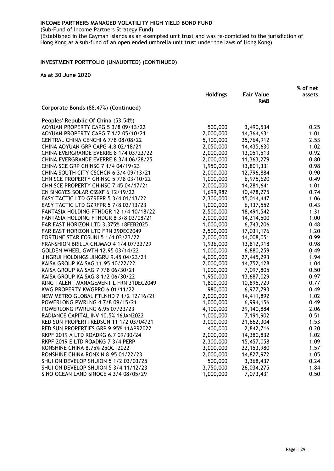(Sub-Fund of Income Partners Strategy Fund)

(Established in the Cayman Islands as an exempted unit trust and was re-domiciled to the jurisdiction of Hong Kong as a sub-fund of an open ended umbrella unit trust under the laws of Hong Kong)

#### **INVESTMENT PORTFOLIO (UNAUDITED) (CONTINUED)**

|                                         |                 |                                 | % of net |
|-----------------------------------------|-----------------|---------------------------------|----------|
|                                         | <b>Holdings</b> | <b>Fair Value</b><br><b>RMB</b> | assets   |
| Corporate Bonds (88.47%) (Continued)    |                 |                                 |          |
| Peoples' Republic Of China (53.54%)     |                 |                                 |          |
| AOYUAN PROPERTY CAPG 5 3/8 09/13/22     | 500,000         | 3,490,534                       | 0.25     |
| AOYUAN PROPERTY CAPG 7 1/2 05/10/21     | 2,000,000       | 14,364,631                      | 1.01     |
| CENTRAL CHINA CENCHI 6 7/8 08/08/22     | 5,100,000       | 35,764,912                      | 2.53     |
| CHINA AOYUAN GRP CAPG 4.8 02/18/21      | 2,050,000       | 14,435,630                      | 1.02     |
| CHINA EVERGRANDE EVERRE 8 1/4 03/23/22  | 2,000,000       | 13,051,513                      | 0.92     |
| CHINA EVERGRANDE EVERRE 8 3/4 06/28/25  | 2,000,000       | 11,363,279                      | 0.80     |
| CHINA SCE GRP CHINSC 7 1/4 04/19/23     | 1,950,000       | 13,801,331                      | 0.98     |
| CHINA SOUTH CITY CSCHCN 6 3/4 09/13/21  | 2,000,000       | 12,796,884                      | 0.90     |
| CHN SCE PROPERTY CHINSC 5 7/8 03/10/22  | 1,000,000       | 6,975,620                       | 0.49     |
| CHN SCE PROPERTY CHINSC 7.45 04/17/21   | 2,000,000       | 14,281,641                      | 1.01     |
| CN SINGYES SOLAR CSSXF 6 12/19/22       | 1,699,982       | 10,478,275                      | 0.74     |
| EASY TACTIC LTD GZRFPR 5 3/4 01/13/22   | 2,300,000       | 15,014,447                      | 1.06     |
| EASY TACTIC LTD GZRFPR 5 7/8 02/13/23   | 1,000,000       | 6,137,552                       | 0.43     |
| FANTASIA HOLDING FTHDGR 12 1/4 10/18/22 | 2,500,000       | 18,491,542                      | 1.31     |
| FANTASIA HOLDING FTHDGR 8 3/8 03/08/21  | 2,000,000       | 14,214,500                      | 1.00     |
| FAR EAST HORIZON LTD 3.375% 18FEB2025   | 1,000,000       | 6,743,206                       | 0.48     |
| FAR EAST HORIZON LTD FRN 29DEC2049      | 2,500,000       | 17,031,176                      | 1.20     |
| FORTUNE STAR FOSUNI 5 1/4 03/23/22      | 2,000,000       | 14,008,051                      | 0.99     |
| FRANSHION BRILLA CHJMAO 4 1/4 07/23/29  | 1,936,000       | 13,812,918                      | 0.98     |
| GOLDEN WHEEL GWTH 12.95 03/14/22        | 1,000,000       | 6,880,259                       | 0.49     |
| JINGRUI HOLDINGS JINGRU 9.45 04/23/21   | 4,000,000       | 27,445,293                      | 1.94     |
| KAISA GROUP KAISAG 11.95 10/22/22       | 2,000,000       | 14,752,128                      | 1.04     |
| KAISA GROUP KAISAG 7 7/8 06/30/21       | 1,000,000       | 7,097,805                       | 0.50     |
| KAISA GROUP KAISAG 8 1/2 06/30/22       | 1,950,000       | 13,687,029                      | 0.97     |
| KING TALENT MANAGEMENT L FRN 31DEC2049  | 1,800,000       | 10,895,729                      | 0.77     |
| KWG PROPERTY KWGPRO 6 01/11/22          | 980,000         | 6,977,793                       | 0.49     |
| NEW METRO GLOBAL FTLNHD 7 1/2 12/16/21  | 2,000,000       | 14,411,892                      | 1.02     |
| POWERLONG PWRLNG 4 7/8 09/15/21         | 1,000,000       | 6,994,156                       | 0.49     |
| POWERLONG PWRLNG 6.95 07/23/23          | 4,100,000       | 29,140,884                      | 2.06     |
| RADIANCE CAPITAL INV 10.5% 16JAN2022    | 1,000,000       | 7,191,902                       | 0.51     |
| RED SUN PROPERTI REDSUN 11 1/2 03/04/21 | 3,000,000       | 21,662,304                      | 1.53     |
| RED SUN PROPERTIES GRP 9.95% 11APR2022  | 400,000         | 2,842,716                       | 0.20     |
| RKPF 2019 A LTD ROADKG 6.7 09/30/24     | 2,000,000       | 14,380,832                      | 1.02     |
| RKPF 2019 E LTD ROADKG 7 3/4 PERP       | 2,300,000       | 15,457,058                      | 1.09     |
| RONSHINE CHINA 8.75% 25OCT2022          | 3,000,000       | 22, 153, 980                    | 1.57     |
| RONSHINE CHINA RONXIN 8.95 01/22/23     | 2,000,000       | 14,827,972                      | 1.05     |
| SHUI ON DEVELOP SHUION 5 1/2 03/03/25   | 500,000         | 3,368,437                       | 0.24     |
| SHUI ON DEVELOP SHUION 5 3/4 11/12/23   | 3,750,000       | 26,034,275                      | 1.84     |
| SINO OCEAN LAND SINOCE 4 3/4 08/05/29   | 1,000,000       | 7,073,431                       | 0.50     |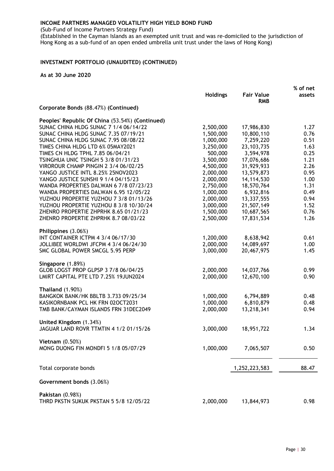(Sub-Fund of Income Partners Strategy Fund)

(Established in the Cayman Islands as an exempted unit trust and was re-domiciled to the jurisdiction of Hong Kong as a sub-fund of an open ended umbrella unit trust under the laws of Hong Kong)

#### **INVESTMENT PORTFOLIO (UNAUDITED) (CONTINUED)**

|                                                                   |                 |                                 | % of net |
|-------------------------------------------------------------------|-----------------|---------------------------------|----------|
|                                                                   | <b>Holdings</b> | <b>Fair Value</b><br><b>RMB</b> | assets   |
| Corporate Bonds (88.47%) (Continued)                              |                 |                                 |          |
| Peoples' Republic Of China (53.54%) (Continued)                   |                 |                                 |          |
| SUNAC CHINA HLDG SUNAC 7 1/4 06/14/22                             | 2,500,000       | 17,986,830                      | 1.27     |
| SUNAC CHINA HLDG SUNAC 7.35 07/19/21                              | 1,500,000       | 10,800,110                      | 0.76     |
| SUNAC CHINA HLDG SUNAC 7.95 08/08/22                              | 1,000,000       | 7,259,220                       | 0.51     |
| TIMES CHINA HLDG LTD 6% 05MAY2021                                 | 3,250,000       | 23, 103, 735                    | 1.63     |
| TIMES CN HLDG TPHL 7.85 06/04/21                                  | 500,000         | 3,594,978                       | 0.25     |
| <b>TSINGHUA UNIC TSINGH 5 3/8 01/31/23</b>                        | 3,500,000       | 17,076,686                      | 1.21     |
| VIROROUR CHAMP PINGIN 2 3/4 06/02/25                              | 4,500,000       | 31,929,933                      | 2.26     |
| YANGO JUSTICE INTL 8.25% 25NOV2023                                | 2,000,000       | 13,579,873                      | 0.95     |
| YANGO JUSTICE SUNSHI 9 1/4 04/15/23                               | 2,000,000       | 14,114,530                      | 1.00     |
| WANDA PROPERTIES DALWAN 6 7/8 07/23/23                            | 2,750,000       | 18,570,764                      | 1.31     |
| WANDA PROPERTIES DALWAN 6.95 12/05/22                             | 1,000,000       | 6,932,816                       | 0.49     |
| YUZHOU PROPERTIE YUZHOU 7 3/8 01/13/26                            | 2,000,000       | 13,337,555                      | 0.94     |
| YUZHOU PROPERTIE YUZHOU 8 3/8 10/30/24                            | 3,000,000       | 21,507,149                      | 1.52     |
| ZHENRO PROPERTIE ZHPRHK 8.65 01/21/23                             | 1,500,000       | 10,687,565                      | 0.76     |
| ZHENRO PROPERTIE ZHPRHK 8.7 08/03/22                              | 2,500,000       | 17,831,534                      | 1.26     |
| Philippines (3.06%)                                               |                 |                                 |          |
| INT CONTAINER ICTPM 4 3/4 06/17/30                                | 1,200,000       | 8,638,942                       | 0.61     |
| JOLLIBEE WORLDWI JFCPM 4 3/4 06/24/30                             | 2,000,000       | 14,089,697                      | 1.00     |
| SMC GLOBAL POWER SMCGL 5.95 PERP                                  | 3,000,000       | 20,467,975                      | 1.45     |
| Singapore (1.89%)<br>GLOB LOGST PROP GLPSP 3 7/8 06/04/25         | 2,000,000       | 14,037,766                      | 0.99     |
| LMIRT CAPITAL PTE LTD 7.25% 19JUN2024                             | 2,000,000       | 12,670,100                      | 0.90     |
|                                                                   |                 |                                 |          |
| Thailand $(1.90\%)$                                               |                 |                                 |          |
| BANGKOK BANK/HK BBLTB 3.733 09/25/34                              | 1,000,000       | 6,794,889                       | 0.48     |
| KASIKORNBANK PCL HK FRN 02OCT2031                                 | 1,000,000       | 6,810,879                       | 0.48     |
| TMB BANK/CAYMAN ISLANDS FRN 31DEC2049                             | 2,000,000       | 13,218,341                      | 0.94     |
| United Kingdom (1.34%)                                            |                 |                                 |          |
| JAGUAR LAND ROVR TTMTIN 4 1/2 01/15/26                            | 3,000,000       | 18,951,722                      | 1.34     |
| Vietnam $(0.50%)$                                                 |                 |                                 |          |
| MONG DUONG FIN MONDFI 5 1/8 05/07/29                              | 1,000,000       | 7,065,507                       | 0.50     |
| Total corporate bonds                                             |                 | 1,252,223,583                   | 88.47    |
| Government bonds (3.06%)                                          |                 |                                 |          |
|                                                                   |                 |                                 |          |
| <b>Pakistan</b> (0.98%)<br>THRD PKSTN SUKUK PKSTAN 5 5/8 12/05/22 | 2,000,000       | 13,844,973                      | 0.98     |
|                                                                   |                 |                                 |          |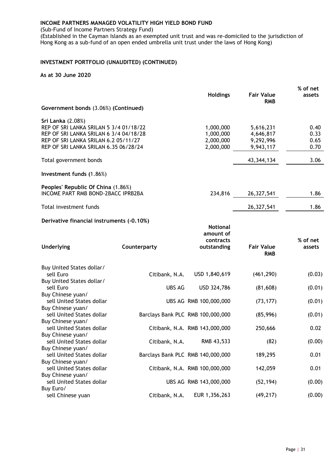(Sub-Fund of Income Partners Strategy Fund)

(Established in the Cayman Islands as an exempted unit trust and was re-domiciled to the jurisdiction of Hong Kong as a sub-fund of an open ended umbrella unit trust under the laws of Hong Kong)

#### **INVESTMENT PORTFOLIO (UNAUDITED) (CONTINUED)**

|                                           |                                   |                                |                                 | % of net           |
|-------------------------------------------|-----------------------------------|--------------------------------|---------------------------------|--------------------|
|                                           |                                   | <b>Holdings</b>                | <b>Fair Value</b><br><b>RMB</b> | assets             |
| Government bonds (3.06%) (Continued)      |                                   |                                |                                 |                    |
| Sri Lanka (2.08%)                         |                                   |                                |                                 |                    |
| REP OF SRI LANKA SRILAN 5 3/4 01/18/22    |                                   | 1,000,000                      | 5,616,231                       | 0.40               |
| REP OF SRI LANKA SRILAN 6 3/4 04/18/28    |                                   | 1,000,000                      | 4,646,817                       | 0.33               |
| REP OF SRI LANKA SRILAN 6.2 05/11/27      |                                   | 2,000,000                      | 9,292,996                       | 0.65               |
| REP OF SRI LANKA SRILAN 6.35 06/28/24     |                                   | 2,000,000                      | 9,943,117                       | 0.70               |
| Total government bonds                    |                                   |                                | 43, 344, 134                    | 3.06               |
| Investment funds (1.86%)                  |                                   |                                |                                 |                    |
| Peoples' Republic Of China (1.86%)        |                                   |                                |                                 |                    |
| INCOME PART RMB BOND-2BACC IPRB2BA        |                                   | 234,816                        | 26,327,541                      | 1.86               |
| Total investment funds                    |                                   |                                | 26,327,541                      | 1.86               |
| Derivative financial instruments (-0.10%) |                                   |                                |                                 |                    |
|                                           |                                   | <b>Notional</b><br>amount of   |                                 |                    |
| <b>Underlying</b>                         | Counterparty                      | contracts<br>outstanding       | <b>Fair Value</b><br><b>RMB</b> | % of net<br>assets |
|                                           |                                   |                                |                                 |                    |
| Buy United States dollar/                 |                                   |                                |                                 |                    |
| sell Euro                                 | Citibank, N.A.                    | USD 1,840,619                  | (461, 290)                      | (0.03)             |
| Buy United States dollar/                 |                                   |                                |                                 |                    |
| sell Euro                                 | <b>UBS AG</b>                     | USD 324,786                    | (81,608)                        | (0.01)             |
| Buy Chinese yuan/                         |                                   |                                |                                 |                    |
| sell United States dollar                 |                                   | UBS AG RMB 100,000,000         | (73, 177)                       | (0.01)             |
| Buy Chinese yuan/                         |                                   |                                |                                 |                    |
| sell United States dollar                 | Barclays Bank PLC RMB 100,000,000 |                                | (85,996)                        | (0.01)             |
| Buy Chinese yuan/                         |                                   |                                |                                 |                    |
| sell United States dollar                 |                                   | Citibank, N.A. RMB 143,000,000 | 250,666                         | 0.02               |
| Buy Chinese yuan/                         |                                   |                                |                                 |                    |
| sell United States dollar                 | Citibank, N.A.                    | RMB 43,533                     | (82)                            | (0.00)             |
| Buy Chinese yuan/                         |                                   |                                |                                 |                    |
| sell United States dollar                 | Barclays Bank PLC RMB 140,000,000 |                                | 189,295                         | 0.01               |
| Buy Chinese yuan/                         |                                   |                                |                                 |                    |
| sell United States dollar                 |                                   | Citibank, N.A. RMB 100,000,000 | 142,059                         | 0.01               |
| Buy Chinese yuan/                         |                                   |                                |                                 |                    |
| sell United States dollar                 |                                   | UBS AG RMB 143,000,000         | (52, 194)                       | (0.00)             |
| Buy Euro/                                 |                                   |                                |                                 |                    |
| sell Chinese yuan                         | Citibank, N.A.                    | EUR 1,356,263                  | (49, 217)                       | (0.00)             |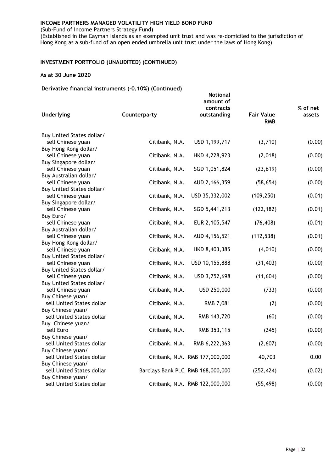(Sub-Fund of Income Partners Strategy Fund)

(Established in the Cayman Islands as an exempted unit trust and was re-domiciled to the jurisdiction of Hong Kong as a sub-fund of an open ended umbrella unit trust under the laws of Hong Kong)

#### **INVESTMENT PORTFOLIO (UNAUDITED) (CONTINUED)**

#### **As at 30 June 2020**

#### **Derivative financial instruments (-0.10%) (Continued)**

| $\frac{1}{2}$<br>Underlying                    | Counterparty                      | <b>Notional</b><br>amount of<br>contracts<br>outstanding | <b>Fair Value</b><br><b>RMB</b> | % of net<br>assets |
|------------------------------------------------|-----------------------------------|----------------------------------------------------------|---------------------------------|--------------------|
|                                                |                                   |                                                          |                                 |                    |
| Buy United States dollar/                      |                                   |                                                          |                                 |                    |
| sell Chinese yuan                              | Citibank, N.A.                    | USD 1,199,717                                            | (3,710)                         | (0.00)             |
| Buy Hong Kong dollar/                          |                                   |                                                          |                                 |                    |
| sell Chinese yuan<br>Buy Singapore dollar/     | Citibank, N.A.                    | HKD 4,228,923                                            | (2,018)                         | (0.00)             |
| sell Chinese yuan                              | Citibank, N.A.                    | SGD 1,051,824                                            | (23, 619)                       | (0.00)             |
| Buy Australian dollar/                         |                                   |                                                          |                                 |                    |
| sell Chinese yuan                              | Citibank, N.A.                    | AUD 2,166,359                                            | (58, 654)                       | (0.00)             |
| Buy United States dollar/                      |                                   |                                                          |                                 |                    |
| sell Chinese yuan                              | Citibank, N.A.                    | USD 35,332,002                                           | (109, 250)                      | (0.01)             |
| Buy Singapore dollar/<br>sell Chinese yuan     | Citibank, N.A.                    | SGD 5,441,213                                            | (122, 182)                      | (0.01)             |
| Buy Euro/                                      |                                   |                                                          |                                 |                    |
| sell Chinese yuan                              | Citibank, N.A.                    | EUR 2,105,547                                            | (76, 408)                       | (0.01)             |
| Buy Australian dollar/                         |                                   |                                                          |                                 |                    |
| sell Chinese yuan                              | Citibank, N.A.                    | AUD 4,156,521                                            | (112, 538)                      | (0.01)             |
| Buy Hong Kong dollar/                          |                                   |                                                          |                                 |                    |
| sell Chinese yuan                              | Citibank, N.A.                    | HKD 8,403,385                                            | (4,010)                         | (0.00)             |
| Buy United States dollar/<br>sell Chinese yuan | Citibank, N.A.                    | USD 10,155,888                                           | (31, 403)                       | (0.00)             |
| Buy United States dollar/                      |                                   |                                                          |                                 |                    |
| sell Chinese yuan                              | Citibank, N.A.                    | USD 3,752,698                                            | (11, 604)                       | (0.00)             |
| Buy United States dollar/                      |                                   |                                                          |                                 |                    |
| sell Chinese yuan                              | Citibank, N.A.                    | USD 250,000                                              | (733)                           | (0.00)             |
| Buy Chinese yuan/                              |                                   |                                                          |                                 |                    |
| sell United States dollar                      | Citibank, N.A.                    | RMB 7,081                                                | (2)                             | (0.00)             |
| Buy Chinese yuan/<br>sell United States dollar | Citibank, N.A.                    | RMB 143,720                                              | (60)                            | (0.00)             |
| Buy Chinese yuan/                              |                                   |                                                          |                                 |                    |
| sell Euro                                      | Citibank, N.A.                    | RMB 353,115                                              | (245)                           | (0.00)             |
| Buy Chinese yuan/                              |                                   |                                                          |                                 |                    |
| sell United States dollar                      | Citibank, N.A.                    | RMB 6,222,363                                            | (2,607)                         | (0.00)             |
| Buy Chinese yuan/                              |                                   |                                                          |                                 |                    |
| sell United States dollar                      |                                   | Citibank, N.A. RMB 177,000,000                           | 40,703                          | 0.00               |
| Buy Chinese yuan/<br>sell United States dollar | Barclays Bank PLC RMB 168,000,000 |                                                          | (252, 424)                      | (0.02)             |
| Buy Chinese yuan/                              |                                   |                                                          |                                 |                    |
| sell United States dollar                      |                                   | Citibank, N.A. RMB 122,000,000                           | (55, 498)                       | (0.00)             |
|                                                |                                   |                                                          |                                 |                    |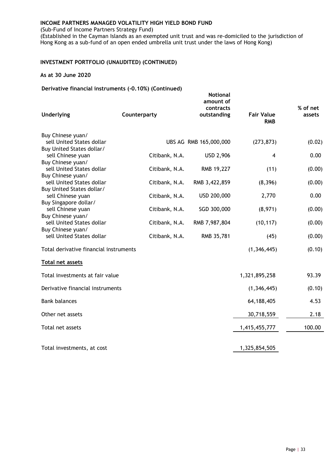(Sub-Fund of Income Partners Strategy Fund)

(Established in the Cayman Islands as an exempted unit trust and was re-domiciled to the jurisdiction of Hong Kong as a sub-fund of an open ended umbrella unit trust under the laws of Hong Kong)

#### **INVESTMENT PORTFOLIO (UNAUDITED) (CONTINUED)**

#### **As at 30 June 2020**

#### **Derivative financial instruments (-0.10%) (Continued)**

| <b>Underlying</b>                                      | Counterparty   | <b>Notional</b><br>amount of<br>contracts<br>outstanding | <b>Fair Value</b><br><b>RMB</b> | % of net<br>assets |
|--------------------------------------------------------|----------------|----------------------------------------------------------|---------------------------------|--------------------|
|                                                        |                |                                                          |                                 |                    |
| Buy Chinese yuan/                                      |                |                                                          |                                 |                    |
| sell United States dollar<br>Buy United States dollar/ |                | UBS AG RMB 165,000,000                                   | (273, 873)                      | (0.02)             |
| sell Chinese yuan                                      | Citibank, N.A. | <b>USD 2,906</b>                                         | 4                               | 0.00               |
| Buy Chinese yuan/                                      |                |                                                          |                                 |                    |
| sell United States dollar                              | Citibank, N.A. | RMB 19,227                                               | (11)                            | (0.00)             |
| Buy Chinese yuan/                                      |                |                                                          |                                 |                    |
| sell United States dollar<br>Buy United States dollar/ | Citibank, N.A. | RMB 3,422,859                                            | (8, 396)                        | (0.00)             |
| sell Chinese yuan                                      | Citibank, N.A. | USD 200,000                                              | 2,770                           | 0.00               |
| Buy Singapore dollar/                                  |                |                                                          |                                 |                    |
| sell Chinese yuan                                      | Citibank, N.A. | SGD 300,000                                              | (8,971)                         | (0.00)             |
| Buy Chinese yuan/<br>sell United States dollar         | Citibank, N.A. | RMB 7,987,804                                            | (10, 117)                       | (0.00)             |
| Buy Chinese yuan/                                      |                |                                                          |                                 |                    |
| sell United States dollar                              | Citibank, N.A. | RMB 35,781                                               | (45)                            | (0.00)             |
| Total derivative financial instruments                 |                |                                                          | (1, 346, 445)                   | (0.10)             |
| Total net assets                                       |                |                                                          |                                 |                    |
| Total investments at fair value                        |                |                                                          | 1,321,895,258                   | 93.39              |
| Derivative financial instruments                       |                |                                                          | (1, 346, 445)                   | (0.10)             |
| <b>Bank balances</b>                                   |                |                                                          | 64,188,405                      | 4.53               |
| Other net assets                                       |                |                                                          | 30,718,559                      | 2.18               |
| Total net assets                                       |                |                                                          | 1,415,455,777                   | 100.00             |
|                                                        |                |                                                          |                                 |                    |
| Total investments, at cost                             |                |                                                          | 1,325,854,505                   |                    |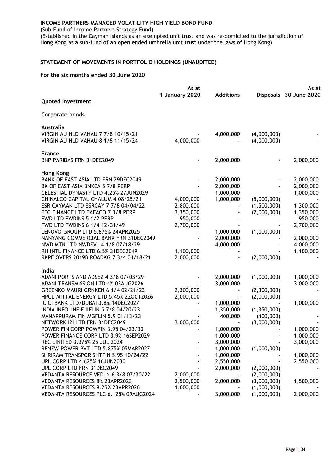(Sub-Fund of Income Partners Strategy Fund)

(Established in the Cayman Islands as an exempted unit trust and was re-domiciled to the jurisdiction of Hong Kong as a sub-fund of an open ended umbrella unit trust under the laws of Hong Kong)

#### <span id="page-36-0"></span>**STATEMENT OF MOVEMENTS IN PORTFOLIO HOLDINGS (UNAUDITED)**

|                                        | As at<br>1 January 2020 | <b>Additions</b> |             | As at<br>Disposals 30 June 2020 |
|----------------------------------------|-------------------------|------------------|-------------|---------------------------------|
| <b>Quoted Investment</b>               |                         |                  |             |                                 |
| <b>Corporate bonds</b>                 |                         |                  |             |                                 |
| Australia                              |                         |                  |             |                                 |
| VIRGIN AU HLD VAHAU 7 7/8 10/15/21     |                         | 4,000,000        | (4,000,000) |                                 |
| VIRGIN AU HLD VAHAU 8 1/8 11/15/24     | 4,000,000               |                  | (4,000,000) |                                 |
| <b>France</b>                          |                         |                  |             |                                 |
| <b>BNP PARIBAS FRN 31DEC2049</b>       |                         | 2,000,000        |             | 2,000,000                       |
| <b>Hong Kong</b>                       |                         |                  |             |                                 |
| BANK OF EAST ASIA LTD FRN 29DEC2049    |                         | 2,000,000        |             | 2,000,000                       |
| BK OF EAST ASIA BNKEA 5 7/8 PERP       |                         | 2,000,000        |             | 2,000,000                       |
| CELESTIAL DYNASTY LTD 4.25% 27JUN2029  |                         | 1,000,000        |             | 1,000,000                       |
| CHINALCO CAPITAL CHALUM 4 08/25/21     | 4,000,000               | 1,000,000        | (5,000,000) |                                 |
| ESR CAYMAN LTD ESRCAY 7 7/8 04/04/22   | 2,800,000               |                  | (1,500,000) | 1,300,000                       |
| FEC FINANCE LTD FAEACO 7 3/8 PERP      | 3,350,000               |                  | (2,000,000) | 1,350,000                       |
| FWD LTD FWDINS 5 1/2 PERP              | 950,000                 |                  |             | 950,000                         |
| FWD LTD FWDINS 6 1/4 12/31/49          | 2,700,000               |                  |             | 2,700,000                       |
| LENOVO GROUP LTD 5.875% 24APR2025      |                         | 1,000,000        | (1,000,000) |                                 |
| NANYANG COMMERCIAL BANK FRN 31DEC2049  |                         | 2,000,000        |             | 2,000,000                       |
| NWD MTN LTD NWDEVL 4 1/8 07/18/29      |                         | 4,000,000        |             | 4,000,000                       |
| RH INTL FINANCE LTD 6.5% 31DEC2049     | 1,100,000               |                  |             | 1,100,000                       |
| RKPF OVERS 2019B ROADKG 7 3/4 04/18/21 | 2,000,000               |                  | (2,000,000) |                                 |
| India                                  |                         |                  |             |                                 |
| ADANI PORTS AND ADSEZ 4 3/8 07/03/29   |                         | 2,000,000        | (1,000,000) | 1,000,000                       |
| ADANI TRANSMISSION LTD 4% 03AUG2026    |                         | 3,000,000        |             | 3,000,000                       |
| GREENKO MAURI GRNKEN 6 1/4 02/21/23    | 2,300,000               |                  | (2,300,000) |                                 |
| HPCL-MITTAL ENERGY LTD 5.45% 220CT2026 | 2,000,000               |                  | (2,000,000) |                                 |
| ICICI BANK LTD/DUBAI 3.8% 14DEC2027    |                         | 1,000,000        |             | 1,000,000                       |
| INDIA INFOLINE F IIFLIN 5 7/8 04/20/23 |                         | 1,350,000        | (1,350,000) |                                 |
| MANAPPURAM FIN MGFLIN 5.9 01/13/23     |                         | 400,000          | (400,000)   |                                 |
| NETWORK 121 LTD FRN 31DEC2049          | 3,000,000               |                  | (3,000,000) |                                 |
| POWER FIN CORP POWFIN 3.95 04/23/30    |                         | 1,000,000        |             | 1,000,000                       |
| POWER FINANCE CORP LTD 3.9% 16SEP2029  |                         | 1,000,000        |             | 1,000,000                       |
| REC LINITED 3.375% 25 JUL 2024         |                         | 3,000,000        |             | 3,000,000                       |
| RENEW POWER PVT LTD 5.875% 05MAR2027   |                         | 1,000,000        | (1,000,000) |                                 |
| SHRIRAM TRANSPOR SHTFIN 5.95 10/24/22  |                         | 1,000,000        |             | 1,000,000                       |
| UPL CORP LTD 4.625% 16JUN2030          |                         | 2,550,000        |             | 2,550,000                       |
| UPL CORP LTD FRN 31DEC2049             |                         | 2,000,000        | (2,000,000) |                                 |
| VEDANTA RESOURCE VEDLN 6 3/8 07/30/22  | 2,000,000               |                  | (2,000,000) |                                 |
| VEDANTA RESOURCES 8% 23APR2023         | 2,500,000               | 2,000,000        | (3,000,000) | 1,500,000                       |
| VEDANTA RESOURCES 9.25% 23APR2026      | 1,000,000               |                  | (1,000,000) |                                 |
| VEDANTA RESOURCES PLC 6.125% 09AUG2024 |                         | 3,000,000        | (1,000,000) | 2,000,000                       |
|                                        |                         |                  |             |                                 |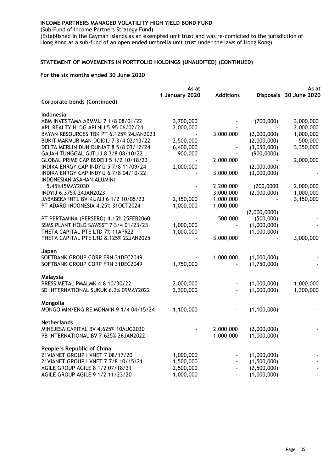(Sub-Fund of Income Partners Strategy Fund)

(Established in the Cayman Islands as an exempted unit trust and was re-domiciled to the jurisdiction of Hong Kong as a sub-fund of an open ended umbrella unit trust under the laws of Hong Kong)

#### **STATEMENT OF MOVEMENTS IN PORTFOLIO HOLDINGS (UNAUDITED) (CONTINUED)**

|                                         | As at<br>1 January 2020 | <b>Additions</b> |              | As at<br>Disposals 30 June 2020 |
|-----------------------------------------|-------------------------|------------------|--------------|---------------------------------|
| <b>Corporate bonds (Continued)</b>      |                         |                  |              |                                 |
| Indonesia                               |                         |                  |              |                                 |
| ABM INVESTAMA ABMMIJ 7 1/8 08/01/22     | 3,700,000               |                  | (700,000)    | 3,000,000                       |
| APL REALTY HLDG APLNIJ 5.95 06/02/24    | 2,000,000               |                  |              | 2,000,000                       |
| BAYAN RESOURCES TBK PT 6.125% 24JAN2023 |                         | 3,000,000        | (2,000,000)  | 1,000,000                       |
| BUKIT MAKMUR MAN DOIDIJ 7 3/4 02/13/22  | 2,500,000               |                  | (2,000,000)  | 500,000                         |
| DELTA MERLIN DUN DUNIAT 8 5/8 03/12/24  | 6,400,000               |                  | (3,050,000)  | 3,350,000                       |
| GAJAH TUNGGAL GJTLIJ 8 3/8 08/10/22     | 900,000                 |                  | (900,0000)   |                                 |
| GLOBAL PRIME CAP BSDEIJ 5 1/2 10/18/23  |                         | 2,000,000        |              | 2,000,000                       |
| INDIKA ENRGY CAP INDYIJ 5 7/8 11/09/24  | 2,000,000               |                  | (2,000,000)  |                                 |
| INDIKA ENRGY CAP INDYIJ 6 7/8 04/10/22  |                         | 3,000,000        | (3,000,000)  |                                 |
| INDONESIAN ASAHAN ALUMINI               |                         |                  |              |                                 |
| 5.45%15MAY2030                          |                         | 2,200,000        | (200,0000)   | 2,000,000                       |
| INDYIJ 6.375% 24JAN2023                 |                         | 3,000,000        | (2,000,000)  | 1,000,000                       |
| JABABEKA INTL BV KIJAIJ 6 1/2 10/05/23  | 2,150,000               | 1,000,000        |              | 3,150,000                       |
| PT ADARO INDONESIA 4.25% 31OCT2024      | 1,000,000               | 1,000,000        |              |                                 |
|                                         |                         |                  | (2,000,0000) |                                 |
| PT PERTAMINA (PERSERO) 4.15% 25FEB2060  |                         | 500,000          | (500,000)    |                                 |
| SSMS PLANT HOLD SAWSST 7 3/4 01/23/23   | 1,000,000               |                  | (1,000,000)  |                                 |
| THETA CAPITAL PTE LTD 7% 11APR22        | 1,000,000               |                  | (1,000,000)  |                                 |
| THETA CAPITAL PTE LTD 8.125% 22JAN2025  |                         | 3,000,000        |              | 3,000,000                       |
| Japan                                   |                         |                  |              |                                 |
| SOFTBANK GROUP CORP FRN 31DEC2049       |                         | 1,000,000        | (1,000,000)  |                                 |
| SOFTBANK GROUP CORP FRN 31DEC2049       | 1,750,000               |                  | (1,750,000)  |                                 |
| Malaysia                                |                         |                  |              |                                 |
| PRESS METAL PMALMK 4.8 10/30/22         | 2,000,000               |                  | (1,000,000)  | 1,000,000                       |
| SD INTERNATIONAL SUKUK 6.3% 09MAY2022   | 2,300,000               |                  | (1,000,000)  | 1,300,000                       |
| Mongolia                                |                         |                  |              |                                 |
| MONGO MIN/ENG RE MONMIN 9 1/4 04/15/24  | 1,100,000               |                  | (1,100,000)  |                                 |
| <b>Netherlands</b>                      |                         |                  |              |                                 |
| MINEJESA CAPITAL BV 4.625% 10AUG2030    |                         | 2,000,000        | (2,000,000)  |                                 |
| PB INTERNATIONAL BV 7.625% 26JAN2022    |                         | 1,000,000        | (1,000,000)  |                                 |
| People's Republic of China              |                         |                  |              |                                 |
| 21VIANET GROUP I VNET 7 08/17/20        | 1,000,000               |                  | (1,000,000)  |                                 |
| 21VIANET GROUP I VNET 7 7/8 10/15/21    | 1,500,000               |                  | (1,500,000)  |                                 |
| AGILE GROUP AGILE 8 1/2 07/18/21        | 2,500,000               |                  | (2,500,000)  |                                 |
| AGILE GROUP AGILE 9 1/2 11/23/20        | 1,000,000               |                  | (1,000,000)  |                                 |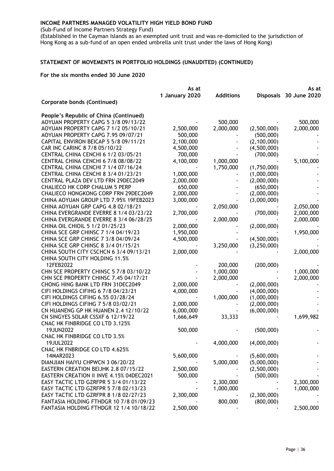(Sub-Fund of Income Partners Strategy Fund)

(Established in the Cayman Islands as an exempted unit trust and was re-domiciled to the jurisdiction of Hong Kong as a sub-fund of an open ended umbrella unit trust under the laws of Hong Kong)

#### **STATEMENT OF MOVEMENTS IN PORTFOLIO HOLDINGS (UNAUDITED) (CONTINUED)**

|                                                                          | As at                  |                  |                            | As at                  |
|--------------------------------------------------------------------------|------------------------|------------------|----------------------------|------------------------|
|                                                                          | 1 January 2020         | <b>Additions</b> |                            | Disposals 30 June 2020 |
| <b>Corporate bonds (Continued)</b>                                       |                        |                  |                            |                        |
| People's Republic of China (Continued)                                   |                        |                  |                            |                        |
| AOYUAN PROPERTY CAPG 5 3/8 09/13/22                                      |                        | 500,000          |                            | 500,000                |
| AOYUAN PROPERTY CAPG 7 1/2 05/10/21                                      | 2,500,000              | 2,000,000        | (2,500,000)                | 2,000,000              |
| AOYUAN PROPERTY CAPG 7.95 09/07/21                                       | 500,000                |                  | (500,000)                  |                        |
| CAPITAL ENVIRON BEICAP 5 5/8 09/11/21                                    | 2,100,000              |                  | (2, 100, 000)              |                        |
| CAR INC CARINC 8 7/8 05/10/22                                            | 4,500,000              |                  | (4,500,000)                |                        |
| CENTRAL CHINA CENCHI 6 1/2 03/05/21                                      | 700,000                |                  | (700,000)                  |                        |
| CENTRAL CHINA CENCHI 6 7/8 08/08/22                                      | 4,100,000              | 1,000,000        |                            | 5,100,000              |
| CENTRAL CHINA CENCHI 7 1/4 07/16/24                                      |                        | 1,750,000        | (1,750,000)                |                        |
| CENTRAL CHINA CENCHI 8 3/4 01/23/21                                      | 1,000,000              |                  | (1,000,000)                |                        |
| CENTRAL PLAZA DEV LTD FRN 29DEC2049                                      | 2,000,000              |                  | (2,000,000)                |                        |
| <b>CHALIECO HK CORP CHALUM 5 PERP</b>                                    | 650,000                |                  | (650,000)                  |                        |
| CHALIECO HONGKONG CORP FRN 29DEC2049                                     | 2,000,000              |                  | (2,000,000)                |                        |
| CHINA AOYUAN GROUP LTD 7.95% 19FEB2023                                   | 3,000,000              |                  | (3,000,000)                |                        |
| CHINA AOYUAN GRP CAPG 4.8 02/18/21                                       |                        | 2,050,000        |                            | 2,050,000              |
| CHINA EVERGRANDE EVERRE 8 1/4 03/23/22                                   | 2,700,000              |                  | (700,000)                  | 2,000,000              |
| CHINA EVERGRANDE EVERRE 8 3/4 06/28/25                                   |                        | 2,000,000        |                            | 2,000,000              |
| CHINA OIL CHIOIL 5 1/2 01/25/23                                          | 2,000,000              |                  | (2,000,000)                |                        |
| CHINA SCE GRP CHINSC 7 1/4 04/19/23                                      | 1,950,000              |                  |                            | 1,950,000              |
| CHINA SCE GRP CHINSC 7 3/8 04/09/24                                      | 4,500,000              |                  | (4,500,000)                |                        |
| CHINA SCE GRP CHINSC 8 3/4 01/15/21                                      |                        | 3,250,000        | (3,250,000)                |                        |
| CHINA SOUTH CITY CSCHCN 6 3/4 09/13/21                                   | 2,000,000              |                  |                            | 2,000,000              |
| CHINA SOUTH CITY HOLDING 11.5%                                           |                        |                  |                            |                        |
| 12FEB2022<br>CHN SCE PROPERTY CHINSC 5 7/8 03/10/22                      |                        | 200,000          | (200,000)                  |                        |
|                                                                          |                        | 1,000,000        |                            | 1,000,000              |
| CHN SCE PROPERTY CHINSC 7.45 04/17/21                                    |                        | 2,000,000        |                            | 2,000,000              |
| CHONG HING BANK LTD FRN 31DEC2049<br>CIFI HOLDINGS CIFIHG 6 7/8 04/23/21 | 2,000,000<br>4,000,000 |                  | (2,000,000)<br>(4,000,000) |                        |
| CIFI HOLDINGS CIFIHG 6.55 03/28/24                                       |                        | 1,000,000        | (1,000,000)                |                        |
| CIFI HOLDINGS CIFIHG 7 5/8 03/02/21                                      | 2,000,000              |                  | (2,000,000)                |                        |
| CN HUANENG GP HK HUANEN 2.4 12/10/22                                     | 6,000,000              |                  | (6,000,000)                |                        |
| CN SINGYES SOLAR CSSXF 6 12/19/22                                        | 1,666,649              | 33,333           |                            | 1,699,982              |
| CNAC HK FINBRIDGE CO LTD 3.125%                                          |                        |                  |                            |                        |
| 19JUN2022                                                                | 500,000                |                  | (500,000)                  |                        |
| CNAC HK FINBRIDGE CO LTD 3.5%                                            |                        |                  |                            |                        |
| 19JUL2022                                                                |                        | 4,000,000        | (4,000,000)                |                        |
| CNAC HK FNBRIDGE CO LTD 4.625%                                           |                        |                  |                            |                        |
| 14MAR2023                                                                | 5,600,000              |                  | (5,600,000)                |                        |
| DIANJIAN HAIYU CHPWCN 3 06/20/22                                         |                        | 5,000,000        | (5,000,000)                |                        |
| EASTERN CREATION BEIJHK 2.8 07/15/22                                     | 2,500,000              |                  | (2,500,000)                |                        |
| EASTERN CREATION II INVE 4.15% 04DEC2021                                 | 500,000                |                  | (500,000)                  |                        |
| EASY TACTIC LTD GZRFPR 5 3/4 01/13/22                                    |                        | 2,300,000        |                            | 2,300,000              |
| EASY TACTIC LTD GZRFPR 5 7/8 02/13/23                                    |                        | 1,000,000        |                            | 1,000,000              |
| EASY TACTIC LTD GZRFPR 8 1/8 02/27/23                                    | 2,300,000              |                  | (2,300,000)                |                        |
| FANTASIA HOLDING FTHDGR 10 7/8 01/09/23                                  |                        | 800,000          | (800,000)                  |                        |
| FANTASIA HOLDING FTHDGR 12 1/4 10/18/22                                  | 2,500,000              |                  |                            | 2,500,000              |
|                                                                          |                        |                  |                            |                        |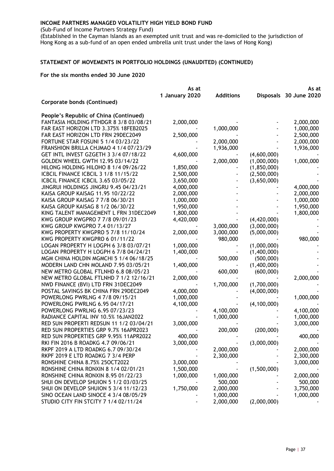(Sub-Fund of Income Partners Strategy Fund)

(Established in the Cayman Islands as an exempted unit trust and was re-domiciled to the jurisdiction of Hong Kong as a sub-fund of an open ended umbrella unit trust under the laws of Hong Kong)

#### **STATEMENT OF MOVEMENTS IN PORTFOLIO HOLDINGS (UNAUDITED) (CONTINUED)**

|                                         | As at          |                  | As at         |                        |
|-----------------------------------------|----------------|------------------|---------------|------------------------|
|                                         | 1 January 2020 | <b>Additions</b> |               | Disposals 30 June 2020 |
| <b>Corporate bonds (Continued)</b>      |                |                  |               |                        |
| People's Republic of China (Continued)  |                |                  |               |                        |
| FANTASIA HOLDING FTHDGR 8 3/8 03/08/21  | 2,000,000      |                  |               | 2,000,000              |
| FAR EAST HORIZON LTD 3.375% 18FEB2025   |                | 1,000,000        |               | 1,000,000              |
| FAR EAST HORIZON LTD FRN 29DEC2049      | 2,500,000      |                  |               | 2,500,000              |
| FORTUNE STAR FOSUNI 5 1/4 03/23/22      |                | 2,000,000        |               | 2,000,000              |
| FRANSHION BRILLA CHJMAO 4 1/4 07/23/29  |                | 1,936,000        |               | 1,936,000              |
| GET INTL INVEST GZGETH 3 3/4 07/18/22   | 4,600,000      |                  | (4,600,000)   |                        |
| GOLDEN WHEEL GWTH 12.95 03/14/22        |                | 2,000,000        | (1,000,000)   | 1,000,000              |
| HILONG HOLDING HILOHO 8 1/4 09/26/22    | 1,850,000      |                  | (1, 850, 000) |                        |
| ICBCIL FINANCE ICBCIL 3 1/8 11/15/22    | 2,500,000      |                  | (2,500,000)   |                        |
| ICBCIL FINANCE ICBCIL 3.65 03/05/22     | 3,650,000      |                  | (3,650,000)   |                        |
| JINGRUI HOLDINGS JINGRU 9.45 04/23/21   | 4,000,000      |                  |               | 4,000,000              |
| KAISA GROUP KAISAG 11.95 10/22/22       | 2,000,000      |                  |               | 2,000,000              |
| KAISA GROUP KAISAG 7 7/8 06/30/21       | 1,000,000      |                  |               | 1,000,000              |
| KAISA GROUP KAISAG 8 1/2 06/30/22       | 1,950,000      |                  |               | 1,950,000              |
| KING TALENT MANAGEMENT L FRN 31DEC2049  | 1,800,000      |                  |               | 1,800,000              |
| KWG GROUP KWGPRO 7 7/8 09/01/23         | 4,420,000      |                  | (4,420,000)   |                        |
| KWG GROUP KWGPRO 7.4 01/13/27           |                | 3,000,000        | (3,000,000)   |                        |
| KWG PROPERTY KWGPRO 5 7/8 11/10/24      | 2,000,000      | 3,000,000        | (5,000,000)   |                        |
| KWG PROPERTY KWGPRO 6 01/11/22          |                | 980,000          |               | 980,000                |
| LOGAN PROPERTY H LOGPH 6 3/8 03/07/21   | 1,000,000      |                  | (1,000,000)   |                        |
| LOGAN PROPERTY H LOGPH 6 7/8 04/24/21   | 1,400,000      |                  | (1,400,000)   |                        |
| MGM CHINA HOLDIN MGMCHI 5 1/4 06/18/25  |                | 500,000          | (500,000)     |                        |
| MODERN LAND CHN MOLAND 7.95 03/05/21    | 1,400,000      |                  | (1,400,000)   |                        |
| NEW METRO GLOBAL FTLNHD 6.8 08/05/23    |                | 600,000          | (600,000)     |                        |
| NEW METRO GLOBAL FTLNHD 7 1/2 12/16/21  | 2,000,000      |                  |               | 2,000,000              |
| NWD FINANCE (BVI) LTD FRN 31DEC2049     |                | 1,700,000        | (1,700,000)   |                        |
| POSTAL SAVINGS BK CHINA FRN 29DEC2049   | 4,000,000      |                  | (4,000,000)   |                        |
| POWERLONG PWRLNG 4 7/8 09/15/21         | 1,000,000      |                  |               | 1,000,000              |
| POWERLONG PWRLNG 6.95 04/17/21          | 4,100,000      |                  | (4, 100, 000) |                        |
| POWERLONG PWRLNG 6.95 07/23/23          |                | 4,100,000        |               | 4,100,000              |
| RADIANCE CAPITAL INV 10.5% 16JAN2022    |                | 1,000,000        |               | 1,000,000              |
| RED SUN PROPERTI REDSUN 11 1/2 03/04/21 | 3,000,000      |                  |               | 3,000,000              |
| RED SUN PROPERTIES GRP 9.7% 16APR2023   |                | 200,000          | (200,000)     |                        |
| RED SUN PROPERTIES GRP 9.95% 11APR2022  | 400,000        |                  |               | 400,000                |
| RKI FIN 2016 B ROADKG 4.7 09/06/21      | 3,000,000      |                  | (3,000,000)   |                        |
| RKPF 2019 A LTD ROADKG 6.7 09/30/24     |                | 2,000,000        |               | 2,000,000              |
| RKPF 2019 E LTD ROADKG 7 3/4 PERP       |                | 2,300,000        |               | 2,300,000              |
| RONSHINE CHINA 8.75% 25OCT2022          | 3,000,000      |                  |               | 3,000,000              |
| RONSHINE CHINA RONXIN 8 1/4 02/01/21    | 1,500,000      |                  | (1,500,000)   |                        |
| RONSHINE CHINA RONXIN 8.95 01/22/23     | 1,000,000      | 1,000,000        |               | 2,000,000              |
| SHUI ON DEVELOP SHUION 5 1/2 03/03/25   |                | 500,000          |               | 500,000                |
| SHUI ON DEVELOP SHUION 5 3/4 11/12/23   | 1,750,000      | 2,000,000        |               | 3,750,000              |
| SINO OCEAN LAND SINOCE 4 3/4 08/05/29   |                | 1,000,000        |               | 1,000,000              |
| STUDIO CITY FIN STCITY 7 1/4 02/11/24   |                | 2,000,000        | (2,000,000)   |                        |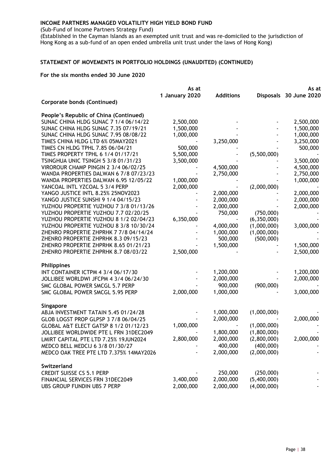(Sub-Fund of Income Partners Strategy Fund)

(Established in the Cayman Islands as an exempted unit trust and was re-domiciled to the jurisdiction of Hong Kong as a sub-fund of an open ended umbrella unit trust under the laws of Hong Kong)

#### **STATEMENT OF MOVEMENTS IN PORTFOLIO HOLDINGS (UNAUDITED) (CONTINUED)**

|                                                  | As at          |                  | As at       |                        |
|--------------------------------------------------|----------------|------------------|-------------|------------------------|
|                                                  | 1 January 2020 | <b>Additions</b> |             | Disposals 30 June 2020 |
| <b>Corporate bonds (Continued)</b>               |                |                  |             |                        |
| People's Republic of China (Continued)           |                |                  |             |                        |
| SUNAC CHINA HLDG SUNAC 7 1/4 06/14/22            | 2,500,000      |                  |             | 2,500,000              |
| SUNAC CHINA HLDG SUNAC 7.35 07/19/21             | 1,500,000      |                  |             | 1,500,000              |
| SUNAC CHINA HLDG SUNAC 7.95 08/08/22             | 1,000,000      |                  |             | 1,000,000              |
| TIMES CHINA HLDG LTD 6% 05MAY2021                |                | 3,250,000        |             | 3,250,000              |
| TIMES CN HLDG TPHL 7.85 06/04/21                 | 500,000        |                  |             | 500,000                |
| TIMES PROPERTY TPHL 6 1/4 01/17/21               | 5,500,000      |                  | (5,500,000) |                        |
| TSINGHUA UNIC TSINGH 5 3/8 01/31/23              | 3,500,000      |                  |             | 3,500,000              |
| VIROROUR CHAMP PINGIN 2 3/4 06/02/25             |                | 4,500,000        |             | 4,500,000              |
| WANDA PROPERTIES DALWAN 6 7/8 07/23/23           |                | 2,750,000        |             | 2,750,000              |
| WANDA PROPERTIES DALWAN 6.95 12/05/22            | 1,000,000      |                  |             | 1,000,000              |
| YANCOAL INTL YZCOAL 5 3/4 PERP                   | 2,000,000      |                  | (2,000,000) |                        |
| YANGO JUSTICE INTL 8.25% 25NOV2023               |                | 2,000,000        |             | 2,000,000              |
| YANGO JUSTICE SUNSHI 9 1/4 04/15/23              |                | 2,000,000        |             | 2,000,000              |
| YUZHOU PROPERTIE YUZHOU 7 3/8 01/13/26           |                | 2,000,000        |             | 2,000,000              |
| YUZHOU PROPERTIE YUZHOU 7.7 02/20/25             |                | 750,000          | (750,000)   |                        |
| YUZHOU PROPERTIE YUZHOU 8 1/2 02/04/23           | 6,350,000      |                  | (6,350,000) |                        |
| YUZHOU PROPERTIE YUZHOU 8 3/8 10/30/24           |                | 4,000,000        | (1,000,000) | 3,000,000              |
| ZHENRO PROPERTIE ZHPRHK 7 7/8 04/14/24           |                | 1,000,000        | (1,000,000) |                        |
| ZHENRO PROPERTIE ZHPRHK 8.3 09/15/23             |                | 500,000          | (500,000)   |                        |
| ZHENRO PROPERTIE ZHPRHK 8.65 01/21/23            |                | 1,500,000        |             | 1,500,000              |
| ZHENRO PROPERTIE ZHPRHK 8.7 08/03/22             | 2,500,000      |                  |             | 2,500,000              |
| <b>Philippines</b>                               |                |                  |             |                        |
| INT CONTAINER ICTPM 4 3/4 06/17/30               |                | 1,200,000        |             | 1,200,000              |
| JOLLIBEE WORLDWI JFCPM 4 3/4 06/24/30            |                | 2,000,000        |             | 2,000,000              |
| SMC GLOBAL POWER SMCGL 5.7 PERP                  |                | 900,000          | (900,000)   |                        |
| SMC GLOBAL POWER SMCGL 5.95 PERP                 | 2,000,000      | 1,000,000        |             | 3,000,000              |
|                                                  |                |                  |             |                        |
| Singapore                                        |                |                  |             |                        |
| ABJA INVESTMENT TATAIN 5.45 01/24/28             |                | 1,000,000        | (1,000,000) |                        |
| GLOB LOGST PROP GLPSP 3 7/8 06/04/25             |                | 2,000,000        |             | 2,000,000              |
| <b>GLOBAL A&amp;T ELECT GATSP 8 1/2 01/12/23</b> | 1,000,000      |                  | (1,000,000) |                        |
| JOLLIBEE WORLDWIDE PTE L FRN 31DEC2049           |                | 1,800,000        | (1,800,000) |                        |
| LMIRT CAPITAL PTE LTD 7.25% 19JUN2024            | 2,800,000      | 2,000,000        | (2,800,000) | 2,000,000              |
| MEDCO BELL MEDCIJ 6 3/8 01/30/27                 |                | 400,000          | (400,000)   |                        |
| MEDCO OAK TREE PTE LTD 7.375% 14MAY2026          |                | 2,000,000        | (2,000,000) |                        |
| Switzerland                                      |                |                  |             |                        |
| <b>CREDIT SUISSE CS 5.1 PERP</b>                 |                | 250,000          | (250,000)   |                        |
| FINANCIAL SERVICES FRN 31DEC2049                 | 3,400,000      | 2,000,000        | (5,400,000) |                        |
| UBS GROUP FUNDIN UBS 7 PERP                      | 2,000,000      | 2,000,000        | (4,000,000) |                        |